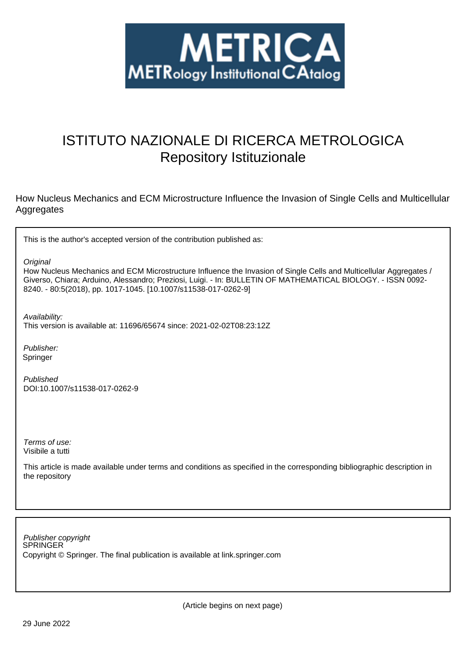

# ISTITUTO NAZIONALE DI RICERCA METROLOGICA Repository Istituzionale

How Nucleus Mechanics and ECM Microstructure Influence the Invasion of Single Cells and Multicellular Aggregates

This is the author's accepted version of the contribution published as:

**Original** 

How Nucleus Mechanics and ECM Microstructure Influence the Invasion of Single Cells and Multicellular Aggregates / Giverso, Chiara; Arduino, Alessandro; Preziosi, Luigi. - In: BULLETIN OF MATHEMATICAL BIOLOGY. - ISSN 0092- 8240. - 80:5(2018), pp. 1017-1045. [10.1007/s11538-017-0262-9]

Availability:

This version is available at: 11696/65674 since: 2021-02-02T08:23:12Z

Publisher: Springer

Published DOI:10.1007/s11538-017-0262-9

Terms of use: Visibile a tutti

This article is made available under terms and conditions as specified in the corresponding bibliographic description in the repository

SPRINGER Publisher copyright Copyright © Springer. The final publication is available at link.springer.com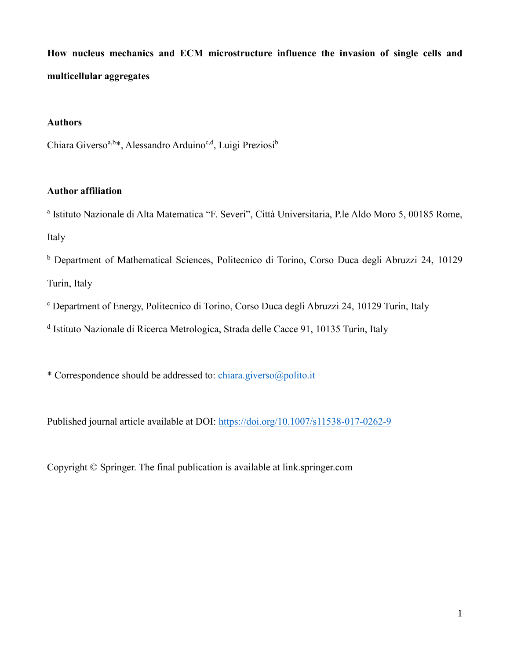**How nucleus mechanics and ECM microstructure influence the invasion of single cells and multicellular aggregates**

## **Authors**

Chiara Giverso<sup>a,b\*</sup>, Alessandro Arduino<sup>c,d</sup>, Luigi Preziosi<sup>b</sup>

## **Author affiliation**

<sup>a</sup> Istituto Nazionale di Alta Matematica "F. Severi", Città Universitaria, P.le Aldo Moro 5, 00185 Rome, Italy

<sup>b</sup> Department of Mathematical Sciences, Politecnico di Torino, Corso Duca degli Abruzzi 24, 10129 Turin, Italy

<sup>c</sup> Department of Energy, Politecnico di Torino, Corso Duca degli Abruzzi 24, 10129 Turin, Italy

<sup>d</sup> Istituto Nazionale di Ricerca Metrologica, Strada delle Cacce 91, 10135 Turin, Italy

\* Correspondence should be addressed to: chiara.giverso@polito.it

Published journal article available at DOI: https://doi.org/10.1007/s11538-017-0262-9

Copyright © Springer. The final publication is available at link.springer.com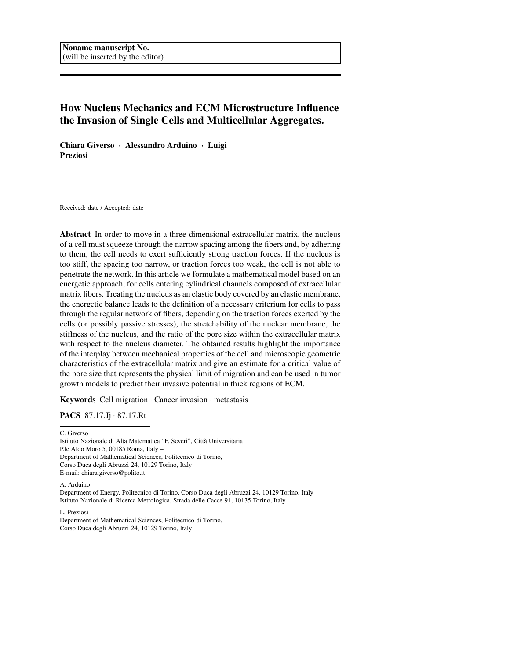## How Nucleus Mechanics and ECM Microstructure Influence the Invasion of Single Cells and Multicellular Aggregates.

Chiara Giverso · Alessandro Arduino · Luigi Preziosi

Received: date / Accepted: date

Abstract In order to move in a three-dimensional extracellular matrix, the nucleus of a cell must squeeze through the narrow spacing among the fibers and, by adhering to them, the cell needs to exert sufficiently strong traction forces. If the nucleus is too stiff, the spacing too narrow, or traction forces too weak, the cell is not able to penetrate the network. In this article we formulate a mathematical model based on an energetic approach, for cells entering cylindrical channels composed of extracellular matrix fibers. Treating the nucleus as an elastic body covered by an elastic membrane, the energetic balance leads to the definition of a necessary criterium for cells to pass through the regular network of fibers, depending on the traction forces exerted by the cells (or possibly passive stresses), the stretchability of the nuclear membrane, the stiffness of the nucleus, and the ratio of the pore size within the extracellular matrix with respect to the nucleus diameter. The obtained results highlight the importance of the interplay between mechanical properties of the cell and microscopic geometric characteristics of the extracellular matrix and give an estimate for a critical value of the pore size that represents the physical limit of migration and can be used in tumor growth models to predict their invasive potential in thick regions of ECM.

Keywords Cell migration · Cancer invasion · metastasis

PACS 87.17.Jj · 87.17.Rt

C. Giverso

Istituto Nazionale di Alta Matematica "F. Severi", Città Universitaria P.le Aldo Moro 5, 00185 Roma, Italy – Department of Mathematical Sciences, Politecnico di Torino, Corso Duca degli Abruzzi 24, 10129 Torino, Italy E-mail: chiara.giverso@polito.it

A. Arduino

Department of Energy, Politecnico di Torino, Corso Duca degli Abruzzi 24, 10129 Torino, Italy Istituto Nazionale di Ricerca Metrologica, Strada delle Cacce 91, 10135 Torino, Italy

L. Preziosi

Department of Mathematical Sciences, Politecnico di Torino, Corso Duca degli Abruzzi 24, 10129 Torino, Italy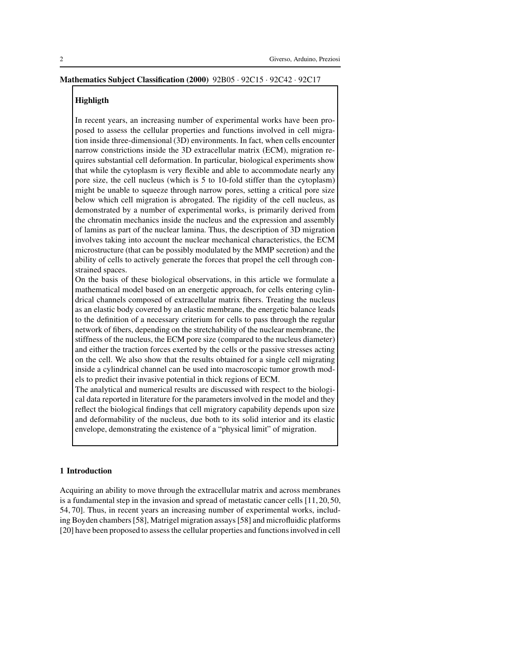#### Mathematics Subject Classification (2000) 92B05 · 92C15 · 92C42 · 92C17

#### **Highligth**

In recent years, an increasing number of experimental works have been proposed to assess the cellular properties and functions involved in cell migration inside three-dimensional (3D) environments. In fact, when cells encounter narrow constrictions inside the 3D extracellular matrix (ECM), migration requires substantial cell deformation. In particular, biological experiments show that while the cytoplasm is very flexible and able to accommodate nearly any pore size, the cell nucleus (which is 5 to 10-fold stiffer than the cytoplasm) might be unable to squeeze through narrow pores, setting a critical pore size below which cell migration is abrogated. The rigidity of the cell nucleus, as demonstrated by a number of experimental works, is primarily derived from the chromatin mechanics inside the nucleus and the expression and assembly of lamins as part of the nuclear lamina. Thus, the description of 3D migration involves taking into account the nuclear mechanical characteristics, the ECM microstructure (that can be possibly modulated by the MMP secretion) and the ability of cells to actively generate the forces that propel the cell through constrained spaces.

On the basis of these biological observations, in this article we formulate a mathematical model based on an energetic approach, for cells entering cylindrical channels composed of extracellular matrix fibers. Treating the nucleus as an elastic body covered by an elastic membrane, the energetic balance leads to the definition of a necessary criterium for cells to pass through the regular network of fibers, depending on the stretchability of the nuclear membrane, the stiffness of the nucleus, the ECM pore size (compared to the nucleus diameter) and either the traction forces exerted by the cells or the passive stresses acting on the cell. We also show that the results obtained for a single cell migrating inside a cylindrical channel can be used into macroscopic tumor growth models to predict their invasive potential in thick regions of ECM.

The analytical and numerical results are discussed with respect to the biological data reported in literature for the parameters involved in the model and they reflect the biological findings that cell migratory capability depends upon size and deformability of the nucleus, due both to its solid interior and its elastic envelope, demonstrating the existence of a "physical limit" of migration.

#### 1 Introduction

Acquiring an ability to move through the extracellular matrix and across membranes is a fundamental step in the invasion and spread of metastatic cancer cells [11, 20, 50, 54, 70]. Thus, in recent years an increasing number of experimental works, including Boyden chambers [58], Matrigel migration assays [58] and microfluidic platforms [20] have been proposed to assess the cellular properties and functions involved in cell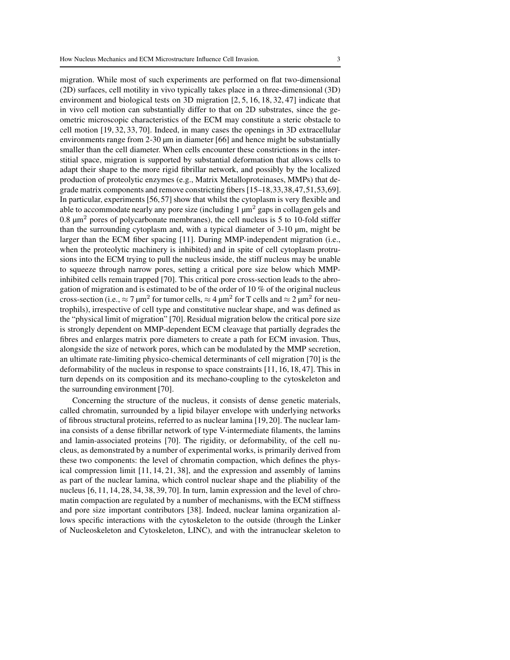migration. While most of such experiments are performed on flat two-dimensional (2D) surfaces, cell motility in vivo typically takes place in a three-dimensional (3D) environment and biological tests on 3D migration [2, 5, 16, 18, 32, 47] indicate that in vivo cell motion can substantially differ to that on 2D substrates, since the geometric microscopic characteristics of the ECM may constitute a steric obstacle to cell motion [19, 32, 33, 70]. Indeed, in many cases the openings in 3D extracellular environments range from 2-30 µm in diameter [66] and hence might be substantially smaller than the cell diameter. When cells encounter these constrictions in the interstitial space, migration is supported by substantial deformation that allows cells to adapt their shape to the more rigid fibrillar network, and possibly by the localized production of proteolytic enzymes (e.g., Matrix Metalloproteinases, MMPs) that degrade matrix components and remove constricting fibers [15–18,33,38,47,51,53,69]. In particular, experiments [56, 57] show that whilst the cytoplasm is very flexible and able to accommodate nearly any pore size (including  $1 \mu m^2$  gaps in collagen gels and  $0.8 \mu m^2$  pores of polycarbonate membranes), the cell nucleus is 5 to 10-fold stiffer than the surrounding cytoplasm and, with a typical diameter of 3-10 µm, might be larger than the ECM fiber spacing [11]. During MMP-independent migration (i.e., when the proteolytic machinery is inhibited) and in spite of cell cytoplasm protrusions into the ECM trying to pull the nucleus inside, the stiff nucleus may be unable to squeeze through narrow pores, setting a critical pore size below which MMPinhibited cells remain trapped [70]. This critical pore cross-section leads to the abrogation of migration and is estimated to be of the order of 10 % of the original nucleus cross-section (i.e.,  $\approx$  7  $\mu$ m<sup>2</sup> for tumor cells,  $\approx$  4  $\mu$ m<sup>2</sup> for T cells and  $\approx$  2  $\mu$ m<sup>2</sup> for neutrophils), irrespective of cell type and constitutive nuclear shape, and was defined as the "physical limit of migration" [70]. Residual migration below the critical pore size is strongly dependent on MMP-dependent ECM cleavage that partially degrades the fibres and enlarges matrix pore diameters to create a path for ECM invasion. Thus, alongside the size of network pores, which can be modulated by the MMP secretion, an ultimate rate-limiting physico-chemical determinants of cell migration [70] is the deformability of the nucleus in response to space constraints [11, 16, 18, 47]. This in turn depends on its composition and its mechano-coupling to the cytoskeleton and the surrounding environment [70].

Concerning the structure of the nucleus, it consists of dense genetic materials, called chromatin, surrounded by a lipid bilayer envelope with underlying networks of fibrous structural proteins, referred to as nuclear lamina [19, 20]. The nuclear lamina consists of a dense fibrillar network of type V-intermediate filaments, the lamins and lamin-associated proteins [70]. The rigidity, or deformability, of the cell nucleus, as demonstrated by a number of experimental works, is primarily derived from these two components: the level of chromatin compaction, which defines the physical compression limit [11, 14, 21, 38], and the expression and assembly of lamins as part of the nuclear lamina, which control nuclear shape and the pliability of the nucleus [6, 11, 14, 28, 34, 38, 39, 70]. In turn, lamin expression and the level of chromatin compaction are regulated by a number of mechanisms, with the ECM stiffness and pore size important contributors [38]. Indeed, nuclear lamina organization allows specific interactions with the cytoskeleton to the outside (through the Linker of Nucleoskeleton and Cytoskeleton, LINC), and with the intranuclear skeleton to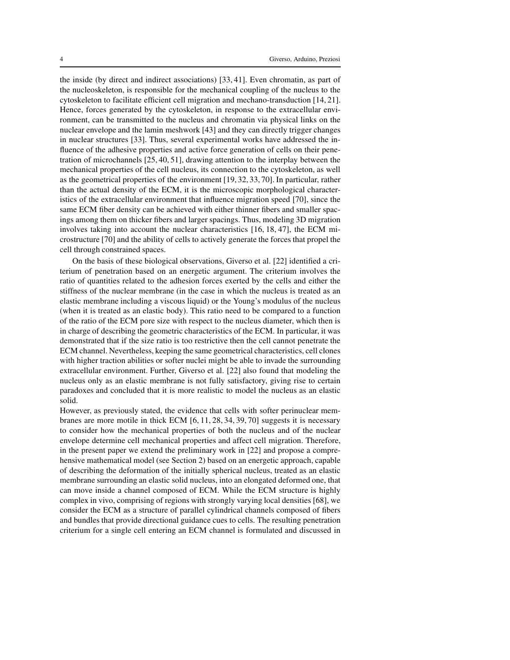the inside (by direct and indirect associations) [33, 41]. Even chromatin, as part of the nucleoskeleton, is responsible for the mechanical coupling of the nucleus to the cytoskeleton to facilitate efficient cell migration and mechano-transduction [14, 21]. Hence, forces generated by the cytoskeleton, in response to the extracellular environment, can be transmitted to the nucleus and chromatin via physical links on the nuclear envelope and the lamin meshwork [43] and they can directly trigger changes in nuclear structures [33]. Thus, several experimental works have addressed the influence of the adhesive properties and active force generation of cells on their penetration of microchannels [25, 40, 51], drawing attention to the interplay between the mechanical properties of the cell nucleus, its connection to the cytoskeleton, as well as the geometrical properties of the environment [19, 32, 33, 70]. In particular, rather than the actual density of the ECM, it is the microscopic morphological characteristics of the extracellular environment that influence migration speed [70], since the same ECM fiber density can be achieved with either thinner fibers and smaller spacings among them on thicker fibers and larger spacings. Thus, modeling 3D migration involves taking into account the nuclear characteristics [16, 18, 47], the ECM microstructure [70] and the ability of cells to actively generate the forces that propel the cell through constrained spaces.

On the basis of these biological observations, Giverso et al. [22] identified a criterium of penetration based on an energetic argument. The criterium involves the ratio of quantities related to the adhesion forces exerted by the cells and either the stiffness of the nuclear membrane (in the case in which the nucleus is treated as an elastic membrane including a viscous liquid) or the Young's modulus of the nucleus (when it is treated as an elastic body). This ratio need to be compared to a function of the ratio of the ECM pore size with respect to the nucleus diameter, which then is in charge of describing the geometric characteristics of the ECM. In particular, it was demonstrated that if the size ratio is too restrictive then the cell cannot penetrate the ECM channel. Nevertheless, keeping the same geometrical characteristics, cell clones with higher traction abilities or softer nuclei might be able to invade the surrounding extracellular environment. Further, Giverso et al. [22] also found that modeling the nucleus only as an elastic membrane is not fully satisfactory, giving rise to certain paradoxes and concluded that it is more realistic to model the nucleus as an elastic solid.

However, as previously stated, the evidence that cells with softer perinuclear membranes are more motile in thick ECM [6, 11, 28, 34, 39, 70] suggests it is necessary to consider how the mechanical properties of both the nucleus and of the nuclear envelope determine cell mechanical properties and affect cell migration. Therefore, in the present paper we extend the preliminary work in [22] and propose a comprehensive mathematical model (see Section 2) based on an energetic approach, capable of describing the deformation of the initially spherical nucleus, treated as an elastic membrane surrounding an elastic solid nucleus, into an elongated deformed one, that can move inside a channel composed of ECM. While the ECM structure is highly complex in vivo, comprising of regions with strongly varying local densities [68], we consider the ECM as a structure of parallel cylindrical channels composed of fibers and bundles that provide directional guidance cues to cells. The resulting penetration criterium for a single cell entering an ECM channel is formulated and discussed in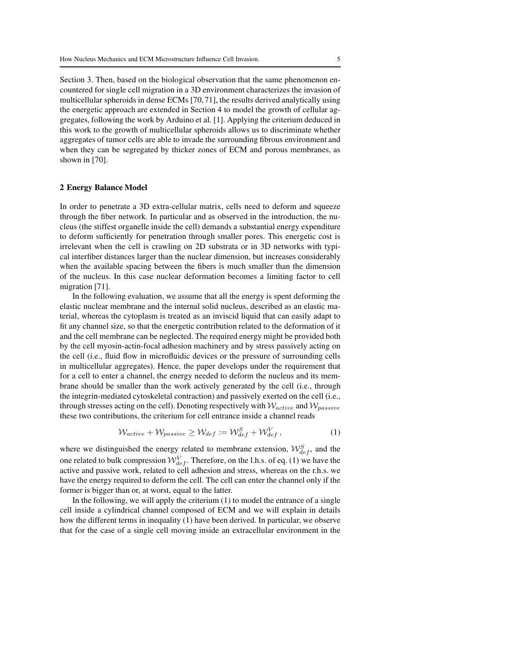Section 3. Then, based on the biological observation that the same phenomenon encountered for single cell migration in a 3D environment characterizes the invasion of multicellular spheroids in dense ECMs [70, 71], the results derived analytically using the energetic approach are extended in Section 4 to model the growth of cellular aggregates, following the work by Arduino et al. [1]. Applying the criterium deduced in this work to the growth of multicellular spheroids allows us to discriminate whether aggregates of tumor cells are able to invade the surrounding fibrous environment and when they can be segregated by thicker zones of ECM and porous membranes, as shown in [70].

#### 2 Energy Balance Model

In order to penetrate a 3D extra-cellular matrix, cells need to deform and squeeze through the fiber network. In particular and as observed in the introduction, the nucleus (the stiffest organelle inside the cell) demands a substantial energy expenditure to deform sufficiently for penetration through smaller pores. This energetic cost is irrelevant when the cell is crawling on 2D substrata or in 3D networks with typical interfiber distances larger than the nuclear dimension, but increases considerably when the available spacing between the fibers is much smaller than the dimension of the nucleus. In this case nuclear deformation becomes a limiting factor to cell migration [71].

In the following evaluation, we assume that all the energy is spent deforming the elastic nuclear membrane and the internal solid nucleus, described as an elastic material, whereas the cytoplasm is treated as an inviscid liquid that can easily adapt to fit any channel size, so that the energetic contribution related to the deformation of it and the cell membrane can be neglected. The required energy might be provided both by the cell myosin-actin-focal adhesion machinery and by stress passively acting on the cell (i.e., fluid flow in microfluidic devices or the pressure of surrounding cells in multicellular aggregates). Hence, the paper develops under the requirement that for a cell to enter a channel, the energy needed to deform the nucleus and its membrane should be smaller than the work actively generated by the cell (i.e., through the integrin-mediated cytoskeletal contraction) and passively exerted on the cell (i.e., through stresses acting on the cell). Denoting respectively with  $W_{active}$  and  $W_{passive}$ these two contributions, the criterium for cell entrance inside a channel reads

$$
\mathcal{W}_{active} + \mathcal{W}_{passive} \geq \mathcal{W}_{def} := \mathcal{W}_{def}^S + \mathcal{W}_{def}^V,
$$
\n(1)

where we distinguished the energy related to membrane extension,  $\mathcal{W}_{def}^S$ , and the one related to bulk compression  $\mathcal{W}_{def}^V$ . Therefore, on the l.h.s. of eq. (1) we have the active and passive work, related to cell adhesion and stress, whereas on the r.h.s. we have the energy required to deform the cell. The cell can enter the channel only if the former is bigger than or, at worst, equal to the latter.

In the following, we will apply the criterium  $(1)$  to model the entrance of a single cell inside a cylindrical channel composed of ECM and we will explain in details how the different terms in inequality (1) have been derived. In particular, we observe that for the case of a single cell moving inside an extracellular environment in the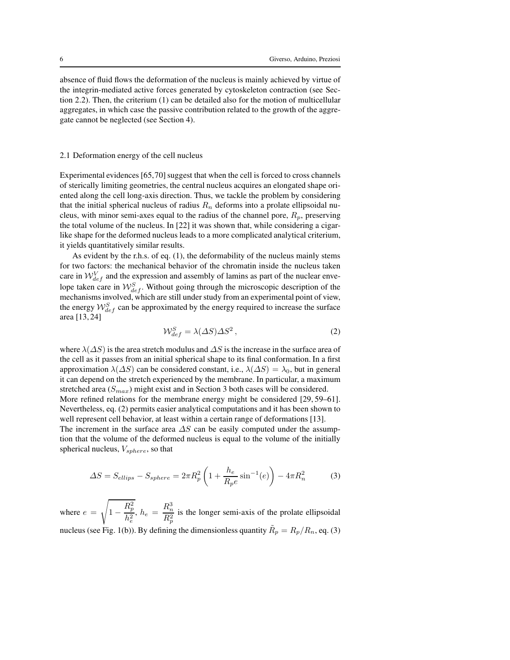absence of fluid flows the deformation of the nucleus is mainly achieved by virtue of the integrin-mediated active forces generated by cytoskeleton contraction (see Section 2.2). Then, the criterium (1) can be detailed also for the motion of multicellular aggregates, in which case the passive contribution related to the growth of the aggregate cannot be neglected (see Section 4).

#### 2.1 Deformation energy of the cell nucleus

Experimental evidences [65,70] suggest that when the cell is forced to cross channels of sterically limiting geometries, the central nucleus acquires an elongated shape oriented along the cell long-axis direction. Thus, we tackle the problem by considering that the initial spherical nucleus of radius  $R_n$  deforms into a prolate ellipsoidal nucleus, with minor semi-axes equal to the radius of the channel pore,  $R_p$ , preserving the total volume of the nucleus. In [22] it was shown that, while considering a cigarlike shape for the deformed nucleus leads to a more complicated analytical criterium, it yields quantitatively similar results.

As evident by the r.h.s. of eq. (1), the deformability of the nucleus mainly stems for two factors: the mechanical behavior of the chromatin inside the nucleus taken care in  $W_{def}^V$  and the expression and assembly of lamins as part of the nuclear envelope taken care in  $\mathcal{W}_{def}^S$ . Without going through the microscopic description of the mechanisms involved, which are still under study from an experimental point of view, the energy  $W_{def}^S$  can be approximated by the energy required to increase the surface area [13, 24]

$$
\mathcal{W}_{def}^S = \lambda(\Delta S)\Delta S^2\,,\tag{2}
$$

where  $\lambda(\Delta S)$  is the area stretch modulus and  $\Delta S$  is the increase in the surface area of the cell as it passes from an initial spherical shape to its final conformation. In a first approximation  $\lambda(\Delta S)$  can be considered constant, i.e.,  $\lambda(\Delta S) = \lambda_0$ , but in general it can depend on the stretch experienced by the membrane. In particular, a maximum stretched area  $(S_{max})$  might exist and in Section 3 both cases will be considered. More refined relations for the membrane energy might be considered [29, 59–61].

Nevertheless, eq. (2) permits easier analytical computations and it has been shown to well represent cell behavior, at least within a certain range of deformations [13].

The increment in the surface area  $\Delta S$  can be easily computed under the assumption that the volume of the deformed nucleus is equal to the volume of the initially spherical nucleus,  $V_{sphere}$ , so that

$$
\Delta S = S_{ellips} - S_{sphere} = 2\pi R_p^2 \left( 1 + \frac{h_e}{R_p e} \sin^{-1}(e) \right) - 4\pi R_n^2 \tag{3}
$$

where  $e =$  $\overline{\phantom{a}}$ 1 −  $R_p^2$  $\frac{R_{p}^{2}}{h_{e}^{2}},\,h_{e}\,=\,\frac{R_{n}^{3}}{R_{p}^{2}}$  $R_p^2$ is the longer semi-axis of the prolate ellipsoidal nucleus (see Fig. 1(b)). By defining the dimensionless quantity  $\tilde{R}_p = R_p/R_n$ , eq. (3)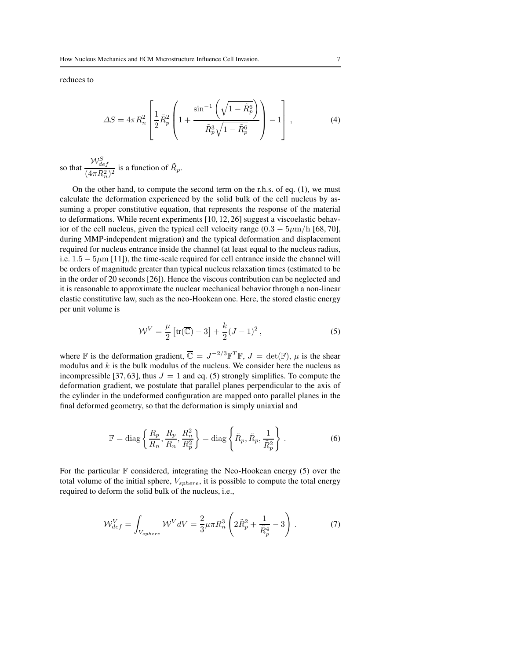reduces to

$$
\Delta S = 4\pi R_n^2 \left[ \frac{1}{2} \tilde{R}_p^2 \left( 1 + \frac{\sin^{-1}\left(\sqrt{1 - \tilde{R}_p^6}\right)}{\tilde{R}_p^3 \sqrt{1 - \tilde{R}_p^6}} \right) - 1 \right],\tag{4}
$$

so that  $\frac{\mathcal{W}_{def}^S}{\mathcal{M}_{def}}$  $\frac{r \nu_{def}}{(4 \pi R_n^2)^2}$  is a function of  $\tilde{R}_p$ .

On the other hand, to compute the second term on the r.h.s. of eq. (1), we must calculate the deformation experienced by the solid bulk of the cell nucleus by assuming a proper constitutive equation, that represents the response of the material to deformations. While recent experiments [10, 12, 26] suggest a viscoelastic behavior of the cell nucleus, given the typical cell velocity range  $(0.3 - 5 \mu m/h [68, 70]$ , during MMP-independent migration) and the typical deformation and displacement required for nucleus entrance inside the channel (at least equal to the nucleus radius, i.e.  $1.5 - 5\mu$ m [11]), the time-scale required for cell entrance inside the channel will be orders of magnitude greater than typical nucleus relaxation times (estimated to be in the order of 20 seconds [26]). Hence the viscous contribution can be neglected and it is reasonable to approximate the nuclear mechanical behavior through a non-linear elastic constitutive law, such as the neo-Hookean one. Here, the stored elastic energy per unit volume is

$$
\mathcal{W}^V = \frac{\mu}{2} \left[ \text{tr}(\overline{\mathbb{C}}) - 3 \right] + \frac{k}{2} (J - 1)^2 \,, \tag{5}
$$

where F is the deformation gradient,  $\overline{C} = J^{-2/3} \mathbb{F}^T \mathbb{F}$ ,  $J = \det(\mathbb{F})$ ,  $\mu$  is the shear modulus and  $k$  is the bulk modulus of the nucleus. We consider here the nucleus as incompressible [37, 63], thus  $J = 1$  and eq. (5) strongly simplifies. To compute the deformation gradient, we postulate that parallel planes perpendicular to the axis of the cylinder in the undeformed configuration are mapped onto parallel planes in the final deformed geometry, so that the deformation is simply uniaxial and

$$
\mathbb{F} = \text{diag}\left\{\frac{R_p}{R_n}, \frac{R_p}{R_n}, \frac{R_n^2}{R_p^2}\right\} = \text{diag}\left\{\tilde{R}_p, \tilde{R}_p, \frac{1}{\tilde{R}_p^2}\right\}.
$$
 (6)

For the particular  $F$  considered, integrating the Neo-Hookean energy (5) over the total volume of the initial sphere,  $V_{sphere}$ , it is possible to compute the total energy required to deform the solid bulk of the nucleus, i.e.,

$$
\mathcal{W}_{def}^V = \int_{V_{sphere}} \mathcal{W}^V dV = \frac{2}{3} \mu \pi R_n^3 \left( 2\tilde{R}_p^2 + \frac{1}{\tilde{R}_p^4} - 3 \right) . \tag{7}
$$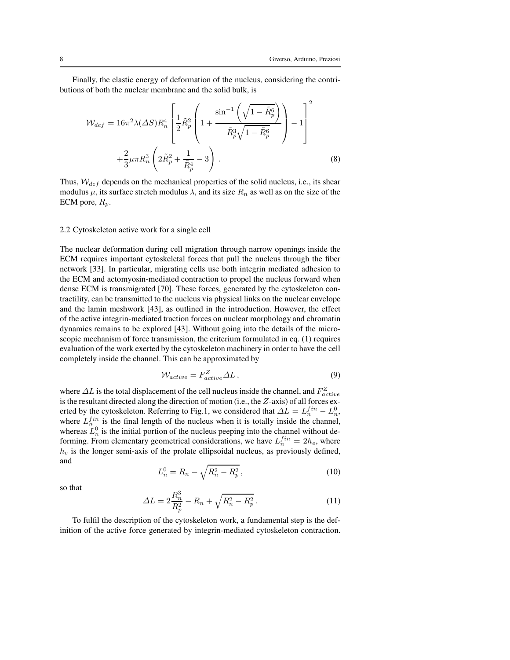Finally, the elastic energy of deformation of the nucleus, considering the contributions of both the nuclear membrane and the solid bulk, is

$$
\mathcal{W}_{def} = 16\pi^2 \lambda (\Delta S) R_n^4 \left[ \frac{1}{2} \tilde{R}_p^2 \left( 1 + \frac{\sin^{-1} \left( \sqrt{1 - \tilde{R}_p^6} \right)}{\tilde{R}_p^3 \sqrt{1 - \tilde{R}_p^6}} \right) - 1 \right]^2
$$
  
 
$$
+ \frac{2}{3} \mu \pi R_n^3 \left( 2 \tilde{R}_p^2 + \frac{1}{\tilde{R}_p^4} - 3 \right).
$$
 (8)

Thus,  $W_{def}$  depends on the mechanical properties of the solid nucleus, i.e., its shear modulus  $\mu$ , its surface stretch modulus  $\lambda$ , and its size  $R_n$  as well as on the size of the ECM pore,  $R_p$ .

#### 2.2 Cytoskeleton active work for a single cell

The nuclear deformation during cell migration through narrow openings inside the ECM requires important cytoskeletal forces that pull the nucleus through the fiber network [33]. In particular, migrating cells use both integrin mediated adhesion to the ECM and actomyosin-mediated contraction to propel the nucleus forward when dense ECM is transmigrated [70]. These forces, generated by the cytoskeleton contractility, can be transmitted to the nucleus via physical links on the nuclear envelope and the lamin meshwork [43], as outlined in the introduction. However, the effect of the active integrin-mediated traction forces on nuclear morphology and chromatin dynamics remains to be explored [43]. Without going into the details of the microscopic mechanism of force transmission, the criterium formulated in eq. (1) requires evaluation of the work exerted by the cytoskeleton machinery in order to have the cell completely inside the channel. This can be approximated by

$$
W_{active} = F_{active}^Z \Delta L \,, \tag{9}
$$

where  $\Delta L$  is the total displacement of the cell nucleus inside the channel, and  $F_{active}^Z$ is the resultant directed along the direction of motion (i.e., the Z-axis) of all forces exerted by the cytoskeleton. Referring to Fig.1, we considered that  $\Delta L = L_n^{fin} - L_n^0$ , where  $L_n^{fin}$  is the final length of the nucleus when it is totally inside the channel, whereas  $L_n^0$  is the initial portion of the nucleus peeping into the channel without deforming. From elementary geometrical considerations, we have  $L_n^{fin} = 2h_e$ , where  $h_e$  is the longer semi-axis of the prolate ellipsoidal nucleus, as previously defined, and

$$
L_n^0 = R_n - \sqrt{R_n^2 - R_p^2},\tag{10}
$$

so that

$$
\Delta L = 2\frac{R_n^3}{R_p^2} - R_n + \sqrt{R_n^2 - R_p^2}.
$$
\n(11)

To fulfil the description of the cytoskeleton work, a fundamental step is the definition of the active force generated by integrin-mediated cytoskeleton contraction.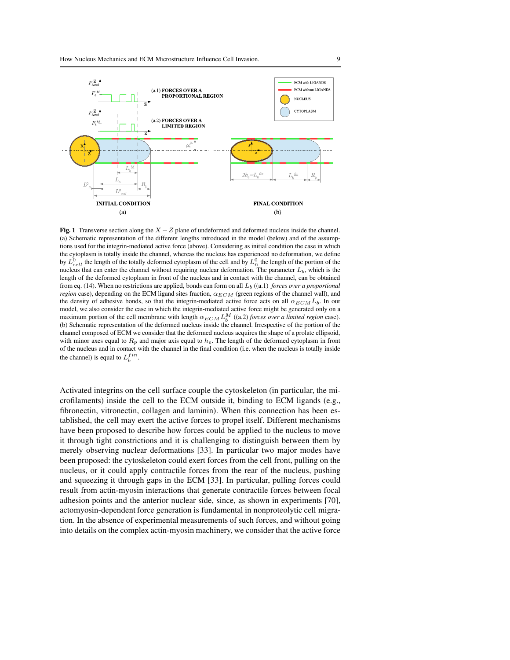

**Fig. 1** Transverse section along the  $X - Z$  plane of undeformed and deformed nucleus inside the channel. (a) Schematic representation of the different lengths introduced in the model (below) and of the assumptions used for the integrin-mediated active force (above). Considering as initial condition the case in which the cytoplasm is totally inside the channel, whereas the nucleus has experienced no deformation, we define by  $L_{cell}^0$  the length of the totally deformed cytoplasm of the cell and by  $L_n^0$  the length of the portion of the nucleus that can enter the channel without requiring nuclear deformation. The parameter  $L_b$ , which is the length of the deformed cytoplasm in front of the nucleus and in contact with the channel, can be obtained from eq. (14). When no restrictions are applied, bonds can form on all  $L_b$  ((a.1) *forces over a proportional region* case), depending on the ECM ligand sites fraction,  $\alpha_{ECM}$  (green regions of the channel wall), and the density of adhesive bonds, so that the integrin-mediated active force acts on all  $\alpha_{ECM} L_b$ . In our model, we also consider the case in which the integrin-mediated active force might be generated only on a maximum portion of the cell membrane with length  $\alpha_{ECM} L_b^M$  ((a.2) *forces over a limited region* case). (b) Schematic representation of the deformed nucleus inside the channel. Irrespective of the portion of the channel composed of ECM we consider that the deformed nucleus acquires the shape of a prolate ellipsoid, with minor axes equal to  $R_p$  and major axis equal to  $h_e$ . The length of the deformed cytoplasm in front of the nucleus and in contact with the channel in the final condition (i.e. when the nucleus is totally inside the channel) is equal to  $L_b^{fin}$ .

Activated integrins on the cell surface couple the cytoskeleton (in particular, the microfilaments) inside the cell to the ECM outside it, binding to ECM ligands (e.g., fibronectin, vitronectin, collagen and laminin). When this connection has been established, the cell may exert the active forces to propel itself. Different mechanisms have been proposed to describe how forces could be applied to the nucleus to move it through tight constrictions and it is challenging to distinguish between them by merely observing nuclear deformations [33]. In particular two major modes have been proposed: the cytoskeleton could exert forces from the cell front, pulling on the nucleus, or it could apply contractile forces from the rear of the nucleus, pushing and squeezing it through gaps in the ECM [33]. In particular, pulling forces could result from actin-myosin interactions that generate contractile forces between focal adhesion points and the anterior nuclear side, since, as shown in experiments [70], actomyosin-dependent force generation is fundamental in nonproteolytic cell migration. In the absence of experimental measurements of such forces, and without going into details on the complex actin-myosin machinery, we consider that the active force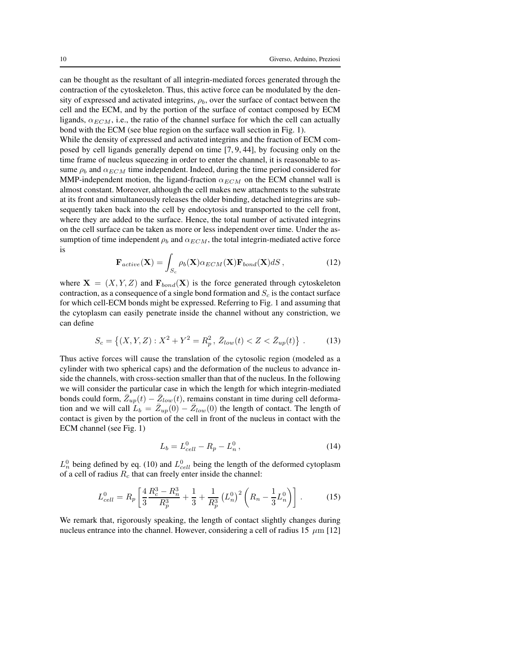can be thought as the resultant of all integrin-mediated forces generated through the contraction of the cytoskeleton. Thus, this active force can be modulated by the density of expressed and activated integrins,  $\rho_b$ , over the surface of contact between the cell and the ECM, and by the portion of the surface of contact composed by ECM ligands,  $\alpha_{ECM}$ , i.e., the ratio of the channel surface for which the cell can actually bond with the ECM (see blue region on the surface wall section in Fig. 1).

While the density of expressed and activated integrins and the fraction of ECM composed by cell ligands generally depend on time [7, 9, 44], by focusing only on the time frame of nucleus squeezing in order to enter the channel, it is reasonable to assume  $\rho_b$  and  $\alpha_{ECM}$  time independent. Indeed, during the time period considered for MMP-independent motion, the ligand-fraction  $\alpha_{ECM}$  on the ECM channel wall is almost constant. Moreover, although the cell makes new attachments to the substrate at its front and simultaneously releases the older binding, detached integrins are subsequently taken back into the cell by endocytosis and transported to the cell front, where they are added to the surface. Hence, the total number of activated integrins on the cell surface can be taken as more or less independent over time. Under the assumption of time independent  $\rho_b$  and  $\alpha_{ECM}$ , the total integrin-mediated active force is

$$
\mathbf{F}_{active}(\mathbf{X}) = \int_{S_c} \rho_b(\mathbf{X}) \alpha_{ECM}(\mathbf{X}) \mathbf{F}_{bond}(\mathbf{X}) dS ,
$$
 (12)

where  $X = (X, Y, Z)$  and  $F_{bond}(X)$  is the force generated through cytoskeleton contraction, as a consequence of a single bond formation and  $S_c$  is the contact surface for which cell-ECM bonds might be expressed. Referring to Fig. 1 and assuming that the cytoplasm can easily penetrate inside the channel without any constriction, we can define

$$
S_c = \left\{ (X, Y, Z) : X^2 + Y^2 = R_p^2, \, \bar{Z}_{low}(t) < Z < \bar{Z}_{up}(t) \right\} \,. \tag{13}
$$

Thus active forces will cause the translation of the cytosolic region (modeled as a cylinder with two spherical caps) and the deformation of the nucleus to advance inside the channels, with cross-section smaller than that of the nucleus. In the following we will consider the particular case in which the length for which integrin-mediated bonds could form,  $\overline{Z}_{up}(t) - \overline{Z}_{low}(t)$ , remains constant in time during cell deformation and we will call  $\overline{L}_b = \overline{Z}_{up}(0) - \overline{Z}_{low}(0)$  the length of contact. The length of contact is given by the portion of the cell in front of the nucleus in contact with the ECM channel (see Fig. 1)

$$
L_b = L_{cell}^0 - R_p - L_n^0, \qquad (14)
$$

 $L_n^0$  being defined by eq. (10) and  $L_{cell}^0$  being the length of the deformed cytoplasm of a cell of radius  $R_c$  that can freely enter inside the channel:

$$
L_{cell}^0 = R_p \left[ \frac{4}{3} \frac{R_c^3 - R_n^3}{R_p^3} + \frac{1}{3} + \frac{1}{R_p^3} \left( L_n^0 \right)^2 \left( R_n - \frac{1}{3} L_n^0 \right) \right] \,. \tag{15}
$$

We remark that, rigorously speaking, the length of contact slightly changes during nucleus entrance into the channel. However, considering a cell of radius 15  $\,\mu$ m [12]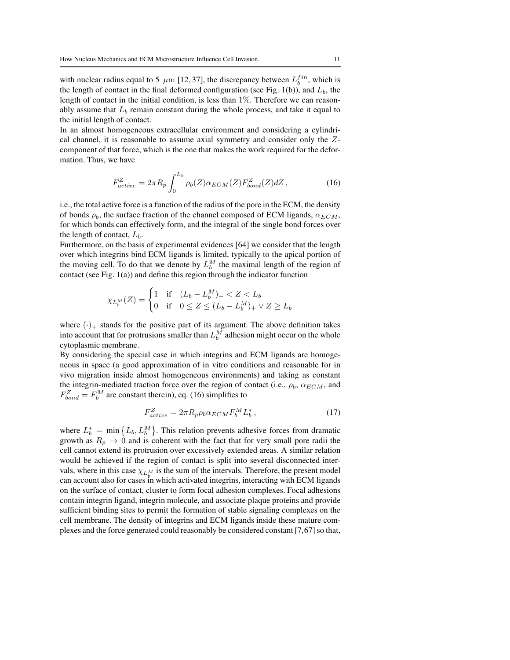with nuclear radius equal to 5  $\,\mu$ m [12,37], the discrepancy between  $L_b^{fin}$ , which is the length of contact in the final deformed configuration (see Fig. 1(b)), and  $L<sub>b</sub>$ , the length of contact in the initial condition, is less than  $1\%$ . Therefore we can reasonably assume that  $L<sub>b</sub>$  remain constant during the whole process, and take it equal to the initial length of contact.

In an almost homogeneous extracellular environment and considering a cylindrical channel, it is reasonable to assume axial symmetry and consider only the Zcomponent of that force, which is the one that makes the work required for the deformation. Thus, we have

$$
F_{active}^Z = 2\pi R_p \int_0^{L_b} \rho_b(Z) \alpha_{ECM}(Z) F_{bond}^Z(Z) dZ , \qquad (16)
$$

i.e., the total active force is a function of the radius of the pore in the ECM, the density of bonds  $\rho_b$ , the surface fraction of the channel composed of ECM ligands,  $\alpha_{ECM}$ , for which bonds can effectively form, and the integral of the single bond forces over the length of contact,  $L<sub>b</sub>$ .

Furthermore, on the basis of experimental evidences [64] we consider that the length over which integrins bind ECM ligands is limited, typically to the apical portion of the moving cell. To do that we denote by  $L_b^M$  the maximal length of the region of contact (see Fig. 1(a)) and define this region through the indicator function

$$
\chi_{L_b^M}(Z) = \begin{cases} 1 & \text{if } (L_b - L_b^M)_+ < Z < L_b \\ 0 & \text{if } 0 \le Z \le (L_b - L_b^M)_+ \vee Z \ge L_b \end{cases}
$$

where  $(\cdot)_+$  stands for the positive part of its argument. The above definition takes into account that for protrusions smaller than  $L_b^M$  adhesion might occur on the whole cytoplasmic membrane.

By considering the special case in which integrins and ECM ligands are homogeneous in space (a good approximation of in vitro conditions and reasonable for in vivo migration inside almost homogeneous environments) and taking as constant the integrin-mediated traction force over the region of contact (i.e.,  $\rho_b$ ,  $\alpha_{ECM}$ , and  $F_{bond}^Z = F_b^M$  are constant therein), eq. (16) simplifies to

$$
F_{active}^Z = 2\pi R_p \rho_b \alpha_{ECM} F_b^M L_b^*,\tag{17}
$$

where  $L_b^* = \min \left\{ L_b, L_b^M \right\}$ . This relation prevents adhesive forces from dramatic growth as  $R_p \rightarrow 0$  and is coherent with the fact that for very small pore radii the cell cannot extend its protrusion over excessively extended areas. A similar relation would be achieved if the region of contact is split into several disconnected intervals, where in this case  $\chi_{L_{h}^{M}}$  is the sum of the intervals. Therefore, the present model can account also for cases in which activated integrins, interacting with ECM ligands on the surface of contact, cluster to form focal adhesion complexes. Focal adhesions contain integrin ligand, integrin molecule, and associate plaque proteins and provide sufficient binding sites to permit the formation of stable signaling complexes on the cell membrane. The density of integrins and ECM ligands inside these mature complexes and the force generated could reasonably be considered constant [7,67] so that,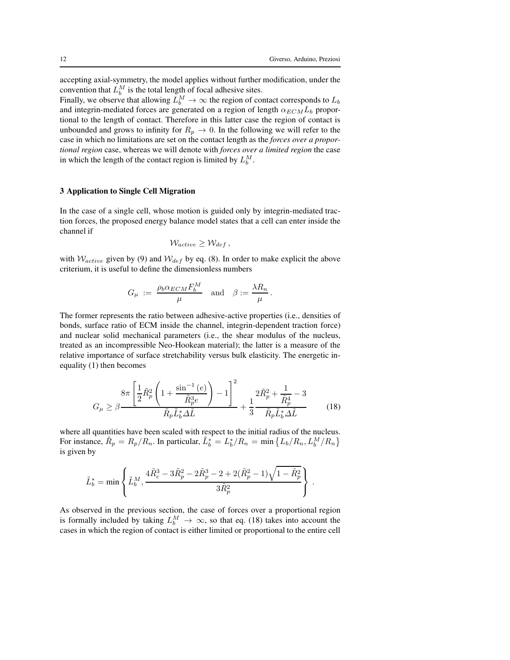accepting axial-symmetry, the model applies without further modification, under the convention that  $L_b^M$  is the total length of focal adhesive sites.

Finally, we observe that allowing  $L_b^M \to \infty$  the region of contact corresponds to  $L_b$ and integrin-mediated forces are generated on a region of length  $\alpha_{ECM}L_b$  proportional to the length of contact. Therefore in this latter case the region of contact is unbounded and grows to infinity for  $R_p \rightarrow 0$ . In the following we will refer to the case in which no limitations are set on the contact length as the *forces over a proportional region* case, whereas we will denote with *forces over a limited region* the case in which the length of the contact region is limited by  $L_b^M$ .

#### 3 Application to Single Cell Migration

In the case of a single cell, whose motion is guided only by integrin-mediated traction forces, the proposed energy balance model states that a cell can enter inside the channel if

$$
W_{active} \geq W_{def},
$$

with  $W_{active}$  given by (9) and  $W_{def}$  by eq. (8). In order to make explicit the above criterium, it is useful to define the dimensionless numbers

$$
G_{\mu} \; := \; \frac{\rho_b \alpha_{ECM} F_b^M}{\mu} \quad \text{and} \quad \beta := \frac{\lambda R_n}{\mu} \, .
$$

The former represents the ratio between adhesive-active properties (i.e., densities of bonds, surface ratio of ECM inside the channel, integrin-dependent traction force) and nuclear solid mechanical parameters (i.e., the shear modulus of the nucleus, treated as an incompressible Neo-Hookean material); the latter is a measure of the relative importance of surface stretchability versus bulk elasticity. The energetic inequality (1) then becomes

$$
G_{\mu} \geq \beta - \frac{8\pi \left[\frac{1}{2}\tilde{R}_{p}^{2}\left(1 + \frac{\sin^{-1}\left(e\right)}{\tilde{R}_{p}^{3}e}\right) - 1\right]^{2}}{\tilde{R}_{p}\tilde{L}_{b}^{*}\Delta\tilde{L}} + \frac{1}{3}\frac{2\tilde{R}_{p}^{2} + \frac{1}{\tilde{R}_{p}^{4}} - 3}{\tilde{R}_{p}\tilde{L}_{b}^{*}\Delta\tilde{L}} \tag{18}
$$

where all quantities have been scaled with respect to the initial radius of the nucleus. For instance,  $\tilde{R}_p = R_p/R_n$ . In particular,  $\tilde{L}_b^* = L_b^*/R_n = \min \{L_b/R_n, L_b^M/R_n\}$ is given by

$$
\tilde{L}_b^* = \min \left\{ \tilde{L}_b^M, \frac{4 \tilde{R}_c^3 - 3 \tilde{R}_p^2 - 2 \tilde{R}_p^3 - 2 + 2(\tilde{R}_p^2-1)\sqrt{1-\tilde{R}_p^2}}{3 \tilde{R}_p^2} \right\} \,.
$$

As observed in the previous section, the case of forces over a proportional region is formally included by taking  $L_b^M \to \infty$ , so that eq. (18) takes into account the cases in which the region of contact is either limited or proportional to the entire cell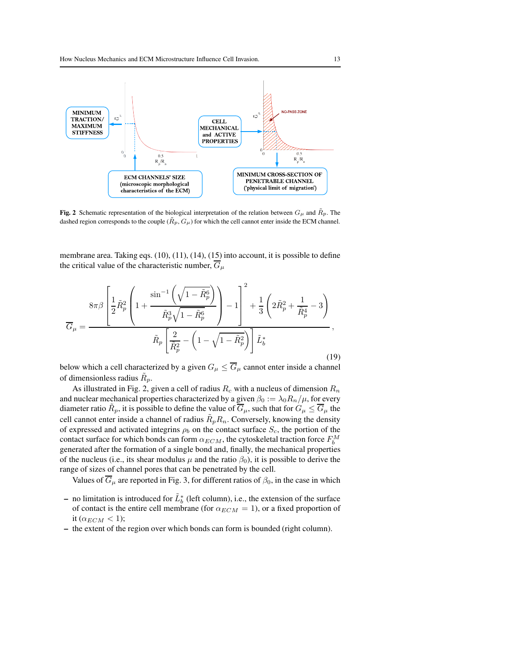

**Fig. 2** Schematic representation of the biological interpretation of the relation between  $G_{\mu}$  and  $\tilde{R}_{p}$ . The dashed region corresponds to the couple  $(\tilde{R}_p, G_\mu)$  for which the cell cannot enter inside the ECM channel.

membrane area. Taking eqs. (10), (11), (14), (15) into account, it is possible to define the critical value of the characteristic number,  $\overline{G}_{\mu}$ 

$$
\overline{G}_{\mu} = \frac{8\pi\beta \left[\frac{1}{2}\tilde{R}_{p}^{2}\left(1+\frac{\sin^{-1}\left(\sqrt{1-\tilde{R}_{p}^{6}}\right)}{\tilde{R}_{p}^{3}\sqrt{1-\tilde{R}_{p}^{6}}}\right)-1\right]^{2}+\frac{1}{3}\left(2\tilde{R}_{p}^{2}+\frac{1}{\tilde{R}_{p}^{4}}-3\right)}{\tilde{R}_{p}\left[\frac{2}{\tilde{R}_{p}^{2}}-\left(1-\sqrt{1-\tilde{R}_{p}^{2}}\right)\right]\tilde{L}_{b}^{*}},\tag{19}
$$

below which a cell characterized by a given  $G_{\mu} \leq \overline{G}_{\mu}$  cannot enter inside a channel of dimensionless radius  $\tilde{R}_p$ .

As illustrated in Fig. 2, given a cell of radius  $R_c$  with a nucleus of dimension  $R_n$ and nuclear mechanical properties characterized by a given  $\beta_0 := \lambda_0 R_n / \mu$ , for every diameter ratio  $\tilde{R}_p$ , it is possible to define the value of  $\overline{G}_{\mu}$ , such that for  $G_{\mu} \le \overline{G}_{\mu}$  the cell cannot enter inside a channel of radius  $\tilde{R}_p R_n$ . Conversely, knowing the density of expressed and activated integrins  $\rho_b$  on the contact surface  $S_c$ , the portion of the contact surface for which bonds can form  $\alpha_{ECM}$ , the cytoskeletal traction force  $F_b^M$ generated after the formation of a single bond and, finally, the mechanical properties of the nucleus (i.e., its shear modulus  $\mu$  and the ratio  $\beta_0$ ), it is possible to derive the range of sizes of channel pores that can be penetrated by the cell.

Values of  $\overline{G}_{\mu}$  are reported in Fig. 3, for different ratios of  $\beta_0$ , in the case in which

- − no limitation is introduced for  $\tilde{L}_b^*$  (left column), i.e., the extension of the surface of contact is the entire cell membrane (for  $\alpha_{ECM} = 1$ ), or a fixed proportion of it ( $\alpha_{ECM}$  < 1);
- the extent of the region over which bonds can form is bounded (right column).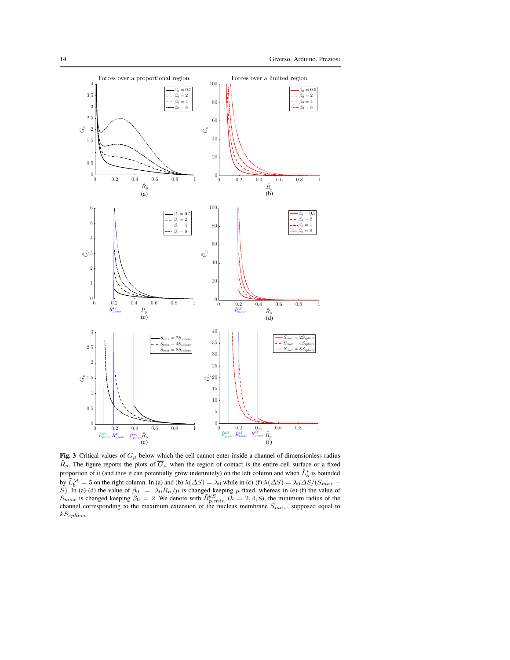

**Fig. 3** Critical values of  $G_{\mu}$  below which the cell cannot enter inside a channel of dimensionless radius  $\tilde{R}_p$ . The figure reports the plots of  $\overline{G}_{\mu}$  when the region of contact is the entire cell surface or a fixed proportion of it (and thus it can potentially grow indefinitely) on the left column and when  $\tilde{L}_b^*$  is bounded by  $\tilde{L}_b^M = 5$  on the right column. In (a) and (b)  $\lambda(\Delta S) = \lambda_0$  while in (c)-(f)  $\lambda(\Delta S) = \lambda_0 \Delta S/(S_{max} -$ S). In (a)-(d) the value of  $\beta_0 = \lambda_0 R_n / \mu$  is changed keeping  $\mu$  fixed, whereas in (e)-(f) the value of  $S_{max}$  is changed keeping  $\beta_0 = 2$ . We denote with  $\tilde{R}_{p,min}^k$  ( $k = 2, 4, 8$ ), the minimum radius of the chann  $kS_{sphere}$ .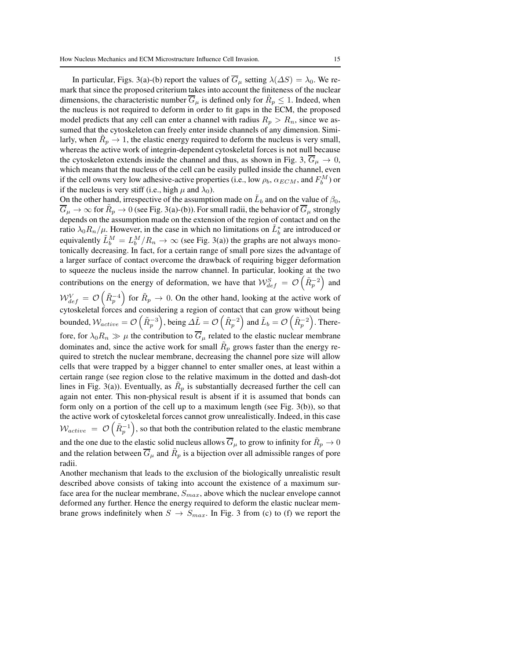In particular, Figs. 3(a)-(b) report the values of  $\overline{G}_{\mu}$  setting  $\lambda(\Delta S) = \lambda_0$ . We remark that since the proposed criterium takes into account the finiteness of the nuclear dimensions, the characteristic number  $\overline{G}_{\mu}$  is defined only for  $\tilde{R}_p \leq 1$ . Indeed, when the nucleus is not required to deform in order to fit gaps in the ECM, the proposed model predicts that any cell can enter a channel with radius  $R_p > R_n$ , since we assumed that the cytoskeleton can freely enter inside channels of any dimension. Similarly, when  $\tilde{R}_p \rightarrow 1$ , the elastic energy required to deform the nucleus is very small, whereas the active work of integrin-dependent cytoskeletal forces is not null because the cytoskeleton extends inside the channel and thus, as shown in Fig. 3,  $\overline{G}_\mu \rightarrow 0$ , which means that the nucleus of the cell can be easily pulled inside the channel, even if the cell owns very low adhesive-active properties (i.e., low  $\rho_b$ ,  $\alpha_{ECM}$ , and  $F_b^M$ ) or if the nucleus is very stiff (i.e., high  $\mu$  and  $\lambda_0$ ).

On the other hand, irrespective of the assumption made on  $\tilde{L}_b$  and on the value of  $\beta_0$ ,  $\overline{G}_{\mu}\to\infty$  for  $\tilde{R}_p\to 0$  (see Fig. 3(a)-(b)). For small radii, the behavior of  $\overline{G}_{\mu}$  strongly depends on the assumption made on the extension of the region of contact and on the ratio  $\lambda_0 R_n/\mu$ . However, in the case in which no limitations on  $\tilde{L}_b^*$  are introduced or equivalently  $\tilde{L}_b^M = L_b^M/R_n \to \infty$  (see Fig. 3(a)) the graphs are not always monotonically decreasing. In fact, for a certain range of small pore sizes the advantage of a larger surface of contact overcome the drawback of requiring bigger deformation to squeeze the nucleus inside the narrow channel. In particular, looking at the two contributions on the energy of deformation, we have that  $W_{def}^S = \mathcal{O}(\tilde{R}_p^{-2})$  and

 $W_{def}^V = \mathcal{O}\left(\tilde{R}_p^{-4}\right)$  for  $\tilde{R}_p \to 0$ . On the other hand, looking at the active work of cytoskeletal forces and considering a region of contact that can grow without being bounded,  $W_{active} = \mathcal{O}\left(\tilde{R}_p^{-3}\right)$ , being  $\Delta \tilde{L} = \mathcal{O}\left(\tilde{R}_p^{-2}\right)$  and  $\tilde{L}_b = \mathcal{O}\left(\tilde{R}_p^{-2}\right)$ . Therefore, for  $\lambda_0 R_n \gg \mu$  the contribution to  $\overline{G}_{\mu}$  related to the elastic nuclear membrane dominates and, since the active work for small  $\tilde{R}_p$  grows faster than the energy required to stretch the nuclear membrane, decreasing the channel pore size will allow cells that were trapped by a bigger channel to enter smaller ones, at least within a certain range (see region close to the relative maximum in the dotted and dash-dot lines in Fig. 3(a)). Eventually, as  $\tilde{R}_p$  is substantially decreased further the cell can again not enter. This non-physical result is absent if it is assumed that bonds can form only on a portion of the cell up to a maximum length (see Fig. 3(b)), so that the active work of cytoskeletal forces cannot grow unrealistically. Indeed, in this case  $W_{active} = \mathcal{O}\left(\tilde{R}_p^{-1}\right)$ , so that both the contribution related to the elastic membrane and the one due to the elastic solid nucleus allows  $\overline{G}_{\mu}$  to grow to infinity for  $\tilde{R}_p \to 0$ and the relation between  $\overline{G}_{\mu}$  and  $\tilde{R}_p$  is a bijection over all admissible ranges of pore radii.

Another mechanism that leads to the exclusion of the biologically unrealistic result described above consists of taking into account the existence of a maximum surface area for the nuclear membrane,  $S_{max}$ , above which the nuclear envelope cannot deformed any further. Hence the energy required to deform the elastic nuclear membrane grows indefinitely when  $S \rightarrow S_{max}$ . In Fig. 3 from (c) to (f) we report the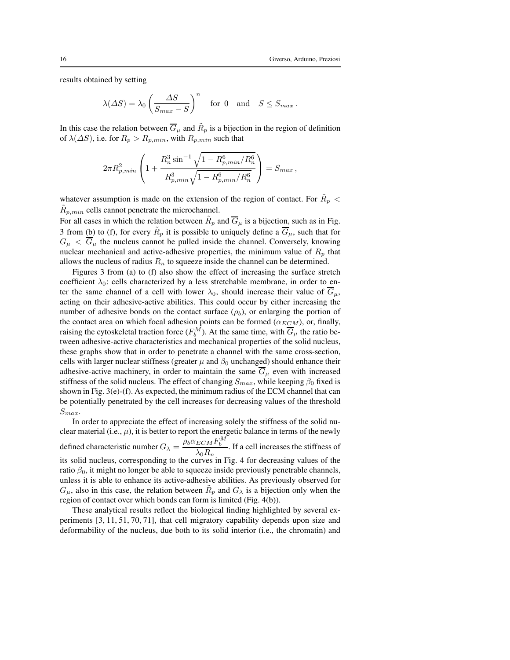results obtained by setting

$$
\lambda(\Delta S) = \lambda_0 \left(\frac{\Delta S}{S_{max} - S}\right)^n
$$
 for 0 and  $S \leq S_{max}$ .

In this case the relation between  $\overline{G}_{\mu}$  and  $\tilde{R}_p$  is a bijection in the region of definition of  $\lambda(\Delta S)$ , i.e. for  $R_p > R_{p,min}$ , with  $R_{p,min}$  such that

$$
2\pi R_{p,min}^2\left(1+\frac{R_n^3\sin^{-1}\sqrt{1-R_{p,min}^6/R_n^6}}{R_{p,min}^3\sqrt{1-R_{p,min}^6/R_n^6}}\right)=S_{max}\,,
$$

whatever assumption is made on the extension of the region of contact. For  $\tilde{R}_p$  <  $\tilde{R}_{p,min}$  cells cannot penetrate the microchannel.

For all cases in which the relation between  $\tilde{R}_p$  and  $\overline{G}_\mu$  is a bijection, such as in Fig. 3 from (b) to (f), for every  $\tilde{R}_p$  it is possible to uniquely define a  $\overline{G}_{\mu}$ , such that for  $G_{\mu} < \overline{G}_{\mu}$  the nucleus cannot be pulled inside the channel. Conversely, knowing nuclear mechanical and active-adhesive properties, the minimum value of  $R_p$  that allows the nucleus of radius  $R_n$  to squeeze inside the channel can be determined.

Figures 3 from (a) to (f) also show the effect of increasing the surface stretch coefficient  $\lambda_0$ : cells characterized by a less stretchable membrane, in order to enter the same channel of a cell with lower  $\lambda_0$ , should increase their value of  $\overline{G}_\mu$ , acting on their adhesive-active abilities. This could occur by either increasing the number of adhesive bonds on the contact surface  $(\rho_b)$ , or enlarging the portion of the contact area on which focal adhesion points can be formed ( $\alpha_{ECM}$ ), or, finally, raising the cytoskeletal traction force  $(F_b^M)$ . At the same time, with  $\overline{G}_{\mu}$  the ratio between adhesive-active characteristics and mechanical properties of the solid nucleus, these graphs show that in order to penetrate a channel with the same cross-section, cells with larger nuclear stiffness (greater  $\mu$  and  $\beta_0$  unchanged) should enhance their adhesive-active machinery, in order to maintain the same  $\overline{G}_{\mu}$  even with increased stiffness of the solid nucleus. The effect of changing  $S_{max}$ , while keeping  $\beta_0$  fixed is shown in Fig. 3(e)-(f). As expected, the minimum radius of the ECM channel that can be potentially penetrated by the cell increases for decreasing values of the threshold  $S_{max}$ 

In order to appreciate the effect of increasing solely the stiffness of the solid nuclear material (i.e.,  $\mu$ ), it is better to report the energetic balance in terms of the newly defined characteristic number  $G_{\lambda} = \frac{\rho_b \alpha_{ECM} F_b^M}{D}$  $\frac{ECM + b}{\lambda_0 R_n}$ . If a cell increases the stiffness of its solid nucleus, corresponding to the curves in Fig. 4 for decreasing values of the ratio  $\beta_0$ , it might no longer be able to squeeze inside previously penetrable channels, unless it is able to enhance its active-adhesive abilities. As previously observed for  $G_{\mu}$ , also in this case, the relation between  $\tilde{R}_p$  and  $\overline{G}_{\lambda}$  is a bijection only when the region of contact over which bonds can form is limited (Fig. 4(b)).

These analytical results reflect the biological finding highlighted by several experiments [3, 11, 51, 70, 71], that cell migratory capability depends upon size and deformability of the nucleus, due both to its solid interior (i.e., the chromatin) and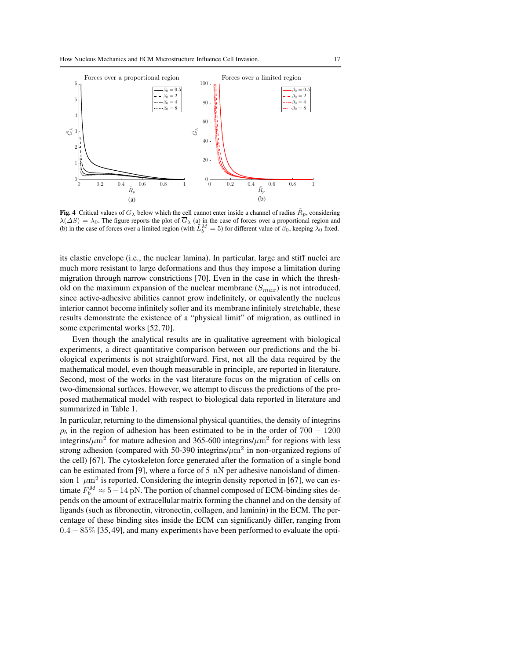

**Fig. 4** Critical values of  $G_\lambda$  below which the cell cannot enter inside a channel of radius  $\tilde{R}_p$ , considering  $\lambda(\Delta S) = \lambda_0$ . The figure reports the plot of  $G_{\lambda}$  (a) in the case of forces over a proportional region and (b) in the case of forces over a limited region (with  $\tilde{L}_b^M = 5$ ) for different value of  $\beta_0$ , keeping

its elastic envelope (i.e., the nuclear lamina). In particular, large and stiff nuclei are much more resistant to large deformations and thus they impose a limitation during migration through narrow constrictions [70]. Even in the case in which the threshold on the maximum expansion of the nuclear membrane  $(S_{max})$  is not introduced, since active-adhesive abilities cannot grow indefinitely, or equivalently the nucleus interior cannot become infinitely softer and its membrane infinitely stretchable, these results demonstrate the existence of a "physical limit" of migration, as outlined in some experimental works [52, 70].

Even though the analytical results are in qualitative agreement with biological experiments, a direct quantitative comparison between our predictions and the biological experiments is not straightforward. First, not all the data required by the mathematical model, even though measurable in principle, are reported in literature. Second, most of the works in the vast literature focus on the migration of cells on two-dimensional surfaces. However, we attempt to discuss the predictions of the proposed mathematical model with respect to biological data reported in literature and summarized in Table 1.

In particular, returning to the dimensional physical quantities, the density of integrins  $\rho_b$  in the region of adhesion has been estimated to be in the order of 700 − 1200 integrins/ $\mu$ m<sup>2</sup> for mature adhesion and 365-600 integrins/ $\mu$ m<sup>2</sup> for regions with less strong adhesion (compared with 50-390 integrins/ $\mu$ m<sup>2</sup> in non-organized regions of the cell) [67]. The cytoskeleton force generated after the formation of a single bond can be estimated from [9], where a force of 5  $nN$  per adhesive nanoisland of dimension 1  $\mu$ m<sup>2</sup> is reported. Considering the integrin density reported in [67], we can estimate  $F_b^M \approx 5-14 \text{ pN}$ . The portion of channel composed of ECM-binding sites depends on the amount of extracellular matrix forming the channel and on the density of ligands (such as fibronectin, vitronectin, collagen, and laminin) in the ECM. The percentage of these binding sites inside the ECM can significantly differ, ranging from 0.4 − 85% [35, 49], and many experiments have been performed to evaluate the opti-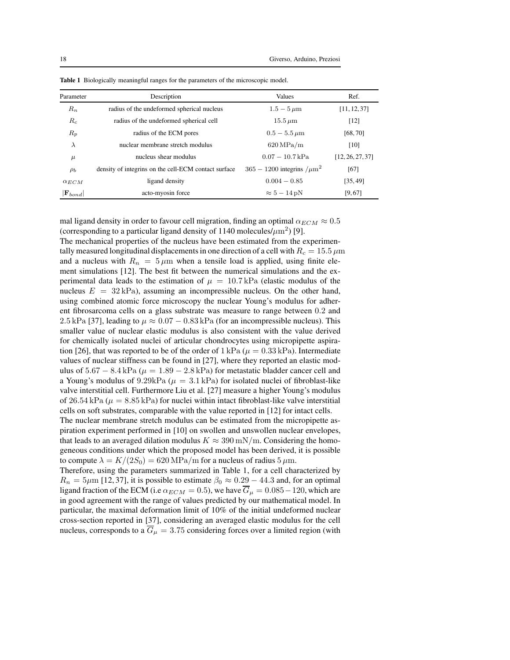| Parameter             | Description                                          | <b>Values</b>                                | Ref.             |
|-----------------------|------------------------------------------------------|----------------------------------------------|------------------|
| $R_n$                 | radius of the undeformed spherical nucleus           | $1.5 - 5 \,\mu m$                            | [11, 12, 37]     |
| $R_c$                 | radius of the undeformed spherical cell              | $15.5 \,\mathrm{\mu m}$                      | [12]             |
| $R_p$                 | radius of the ECM pores                              | $0.5 - 5.5 \,\mu m$                          | [68, 70]         |
| λ                     | nuclear membrane stretch modulus                     | $620 \mathrm{MPa/m}$                         | [10]             |
| $\mu$                 | nucleus shear modulus                                | $0.07 - 10.7$ kPa                            | [12, 26, 27, 37] |
| $\rho_b$              | density of integrins on the cell-ECM contact surface | $365 - 1200$ integrins $/\mu$ m <sup>2</sup> | [67]             |
| $\alpha_{ECM}$        | ligand density                                       | $0.004 - 0.85$                               | [35, 49]         |
| $ \mathbf{F}_{bond} $ | acto-myosin force                                    | $\approx 5-14 \,\mathrm{pN}$                 | [9, 67]          |

Table 1 Biologically meaningful ranges for the parameters of the microscopic model.

mal ligand density in order to favour cell migration, finding an optimal  $\alpha_{ECM} \approx 0.5$ (corresponding to a particular ligand density of 1140 molecules/ $\mu$ m<sup>2</sup>) [9].

The mechanical properties of the nucleus have been estimated from the experimentally measured longitudinal displacements in one direction of a cell with  $R_c = 15.5 \,\mu m$ and a nucleus with  $R_n = 5 \mu m$  when a tensile load is applied, using finite element simulations [12]. The best fit between the numerical simulations and the experimental data leads to the estimation of  $\mu = 10.7 \text{ kPa}$  (elastic modulus of the nucleus  $E = 32 \text{ kPa}$ , assuming an incompressible nucleus. On the other hand, using combined atomic force microscopy the nuclear Young's modulus for adherent fibrosarcoma cells on a glass substrate was measure to range between 0.2 and 2.5 kPa [37], leading to  $\mu \approx 0.07 - 0.83$  kPa (for an incompressible nucleus). This smaller value of nuclear elastic modulus is also consistent with the value derived for chemically isolated nuclei of articular chondrocytes using micropipette aspiration [26], that was reported to be of the order of  $1 \text{ kPa } (\mu = 0.33 \text{ kPa})$ . Intermediate values of nuclear stiffness can be found in [27], where they reported an elastic modulus of  $5.67 - 8.4$  kPa ( $\mu = 1.89 - 2.8$  kPa) for metastatic bladder cancer cell and a Young's modulus of 9.29kPa ( $\mu = 3.1$  kPa) for isolated nuclei of fibroblast-like valve interstitial cell. Furthermore Liu et al. [27] measure a higher Young's modulus of 26.54 kPa ( $\mu = 8.85$  kPa) for nuclei within intact fibroblast-like valve interstitial cells on soft substrates, comparable with the value reported in [12] for intact cells.

The nuclear membrane stretch modulus can be estimated from the micropipette aspiration experiment performed in [10] on swollen and unswollen nuclear envelopes, that leads to an averaged dilation modulus  $K \approx 390 \text{ mN/m}$ . Considering the homogeneous conditions under which the proposed model has been derived, it is possible to compute  $\lambda = K/(2S_0) = 620 \text{ MPa/m}$  for a nucleus of radius  $5 \mu \text{m}$ .

Therefore, using the parameters summarized in Table 1, for a cell characterized by  $R_n = 5 \mu m$  [12, 37], it is possible to estimate  $\beta_0 \approx 0.29 - 44.3$  and, for an optimal ligand fraction of the ECM (i.e  $\alpha_{ECM} = 0.5$ ), we have  $\overline{G}_{\mu} = 0.085 - 120$ , which are in good agreement with the range of values predicted by our mathematical model. In particular, the maximal deformation limit of 10% of the initial undeformed nuclear cross-section reported in [37], considering an averaged elastic modulus for the cell nucleus, corresponds to a  $G_{\mu} = 3.75$  considering forces over a limited region (with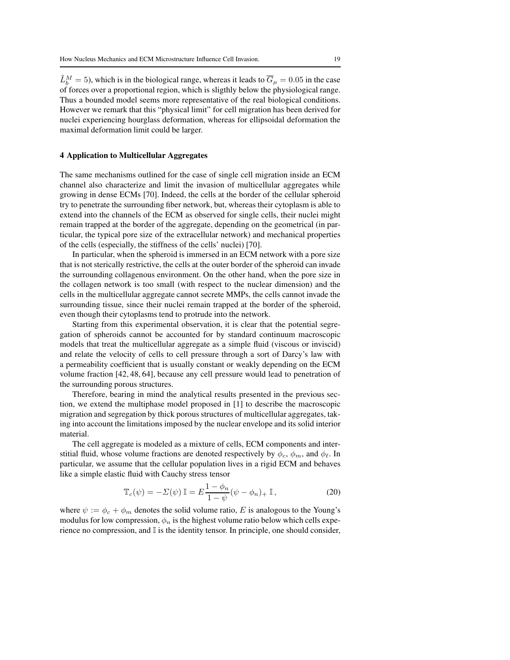$\tilde{L}_b^M = 5$ ), which is in the biological range, whereas it leads to  $\overline{G}_{\mu} = 0.05$  in the case of forces over a proportional region, which is sligthly below the physiological range. Thus a bounded model seems more representative of the real biological conditions. However we remark that this "physical limit" for cell migration has been derived for nuclei experiencing hourglass deformation, whereas for ellipsoidal deformation the maximal deformation limit could be larger.

#### 4 Application to Multicellular Aggregates

The same mechanisms outlined for the case of single cell migration inside an ECM channel also characterize and limit the invasion of multicellular aggregates while growing in dense ECMs [70]. Indeed, the cells at the border of the cellular spheroid try to penetrate the surrounding fiber network, but, whereas their cytoplasm is able to extend into the channels of the ECM as observed for single cells, their nuclei might remain trapped at the border of the aggregate, depending on the geometrical (in particular, the typical pore size of the extracellular network) and mechanical properties of the cells (especially, the stiffness of the cells' nuclei) [70].

In particular, when the spheroid is immersed in an ECM network with a pore size that is not sterically restrictive, the cells at the outer border of the spheroid can invade the surrounding collagenous environment. On the other hand, when the pore size in the collagen network is too small (with respect to the nuclear dimension) and the cells in the multicellular aggregate cannot secrete MMPs, the cells cannot invade the surrounding tissue, since their nuclei remain trapped at the border of the spheroid, even though their cytoplasms tend to protrude into the network.

Starting from this experimental observation, it is clear that the potential segregation of spheroids cannot be accounted for by standard continuum macroscopic models that treat the multicellular aggregate as a simple fluid (viscous or inviscid) and relate the velocity of cells to cell pressure through a sort of Darcy's law with a permeability coefficient that is usually constant or weakly depending on the ECM volume fraction [42, 48, 64], because any cell pressure would lead to penetration of the surrounding porous structures.

Therefore, bearing in mind the analytical results presented in the previous section, we extend the multiphase model proposed in [1] to describe the macroscopic migration and segregation by thick porous structures of multicellular aggregates, taking into account the limitations imposed by the nuclear envelope and its solid interior material.

The cell aggregate is modeled as a mixture of cells, ECM components and interstitial fluid, whose volume fractions are denoted respectively by  $\phi_c$ ,  $\phi_m$ , and  $\phi_\ell$ . In particular, we assume that the cellular population lives in a rigid ECM and behaves like a simple elastic fluid with Cauchy stress tensor

$$
\mathbb{T}_c(\psi) = -\Sigma(\psi) \mathbb{I} = E \frac{1 - \phi_n}{1 - \psi} (\psi - \phi_n)_+ \mathbb{I},\tag{20}
$$

where  $\psi := \phi_c + \phi_m$  denotes the solid volume ratio, E is analogous to the Young's modulus for low compression,  $\phi_n$  is the highest volume ratio below which cells experience no compression, and I is the identity tensor. In principle, one should consider,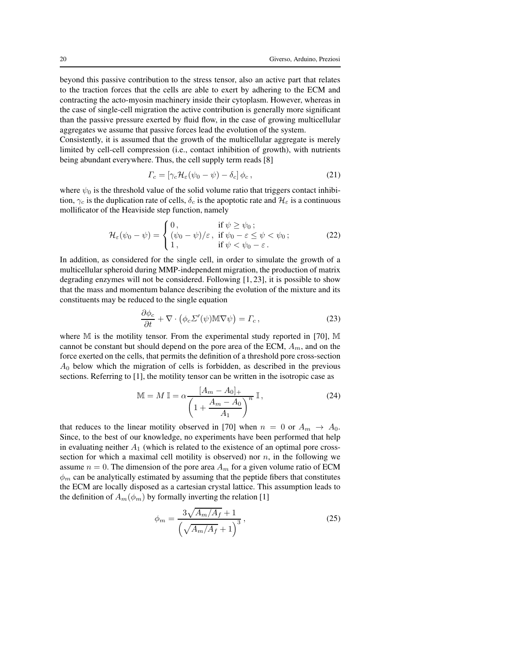beyond this passive contribution to the stress tensor, also an active part that relates to the traction forces that the cells are able to exert by adhering to the ECM and contracting the acto-myosin machinery inside their cytoplasm. However, whereas in the case of single-cell migration the active contribution is generally more significant than the passive pressure exerted by fluid flow, in the case of growing multicellular aggregates we assume that passive forces lead the evolution of the system.

Consistently, it is assumed that the growth of the multicellular aggregate is merely limited by cell-cell compression (i.e., contact inhibition of growth), with nutrients being abundant everywhere. Thus, the cell supply term reads [8]

$$
\Gamma_c = \left[\gamma_c \mathcal{H}_\varepsilon(\psi_0 - \psi) - \delta_c\right] \phi_c, \qquad (21)
$$

where  $\psi_0$  is the threshold value of the solid volume ratio that triggers contact inhibition,  $\gamma_c$  is the duplication rate of cells,  $\delta_c$  is the apoptotic rate and  $\mathcal{H}_{\varepsilon}$  is a continuous mollificator of the Heaviside step function, namely

$$
\mathcal{H}_{\varepsilon}(\psi_0 - \psi) = \begin{cases} 0, & \text{if } \psi \ge \psi_0; \\ (\psi_0 - \psi)/\varepsilon, & \text{if } \psi_0 - \varepsilon \le \psi < \psi_0; \\ 1, & \text{if } \psi < \psi_0 - \varepsilon. \end{cases}
$$
 (22)

In addition, as considered for the single cell, in order to simulate the growth of a multicellular spheroid during MMP-independent migration, the production of matrix degrading enzymes will not be considered. Following [1, 23], it is possible to show that the mass and momentum balance describing the evolution of the mixture and its constituents may be reduced to the single equation

$$
\frac{\partial \phi_c}{\partial t} + \nabla \cdot (\phi_c \Sigma'(\psi) \mathbb{M} \nabla \psi) = \Gamma_c, \qquad (23)
$$

where M is the motility tensor. From the experimental study reported in [70], M cannot be constant but should depend on the pore area of the ECM,  $A<sub>m</sub>$ , and on the force exerted on the cells, that permits the definition of a threshold pore cross-section  $A_0$  below which the migration of cells is forbidden, as described in the previous sections. Referring to [1], the motility tensor can be written in the isotropic case as

$$
\mathbb{M} = M \mathbb{I} = \alpha \frac{\left[A_m - A_0\right]_+}{\left(1 + \frac{A_m - A_0}{A_1}\right)^n} \mathbb{I},\tag{24}
$$

that reduces to the linear motility observed in [70] when  $n = 0$  or  $A_m \rightarrow A_0$ . Since, to the best of our knowledge, no experiments have been performed that help in evaluating neither  $A_1$  (which is related to the existence of an optimal pore crosssection for which a maximal cell motility is observed) nor  $n$ , in the following we assume  $n = 0$ . The dimension of the pore area  $A_m$  for a given volume ratio of ECM  $\phi_m$  can be analytically estimated by assuming that the peptide fibers that constitutes the ECM are locally disposed as a cartesian crystal lattice. This assumption leads to the definition of  $A_m(\phi_m)$  by formally inverting the relation [1]

$$
\phi_m = \frac{3\sqrt{A_m/A_f} + 1}{\left(\sqrt{A_m/A_f} + 1\right)^3},\tag{25}
$$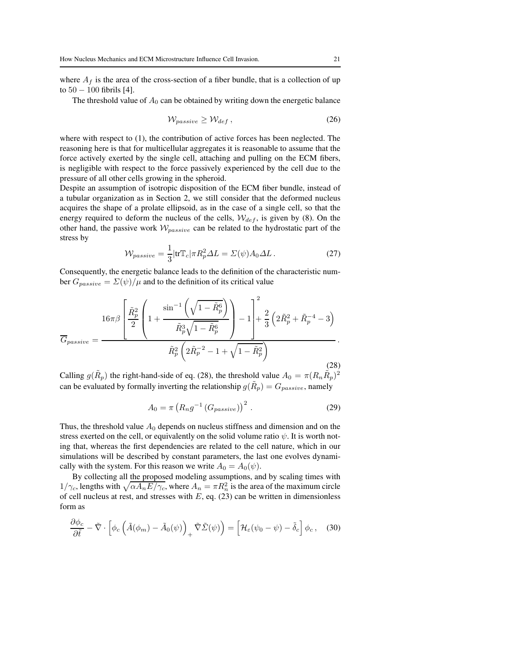where  $A_f$  is the area of the cross-section of a fiber bundle, that is a collection of up to  $50 - 100$  fibrils [4].

The threshold value of  $A_0$  can be obtained by writing down the energetic balance

$$
W_{passive} \ge W_{def} , \qquad (26)
$$

where with respect to (1), the contribution of active forces has been neglected. The reasoning here is that for multicellular aggregates it is reasonable to assume that the force actively exerted by the single cell, attaching and pulling on the ECM fibers, is negligible with respect to the force passively experienced by the cell due to the pressure of all other cells growing in the spheroid.

Despite an assumption of isotropic disposition of the ECM fiber bundle, instead of a tubular organization as in Section 2, we still consider that the deformed nucleus acquires the shape of a prolate ellipsoid, as in the case of a single cell, so that the energy required to deform the nucleus of the cells,  $W_{def}$ , is given by (8). On the other hand, the passive work  $W_{passive}$  can be related to the hydrostatic part of the stress by

$$
\mathcal{W}_{passive} = \frac{1}{3} |\text{tr}\mathbb{T}_c|\pi R_p^2 \Delta L = \Sigma(\psi) A_0 \Delta L. \qquad (27)
$$

Consequently, the energetic balance leads to the definition of the characteristic number  $G_{passive} = \Sigma(\psi)/\mu$  and to the definition of its critical value

$$
\overline{G}_{passive} = \frac{16\pi\beta \left[ \frac{\tilde{R}_p^2}{2} \left( 1 + \frac{\sin^{-1}\left(\sqrt{1 - \tilde{R}_p^6}\right)}{\tilde{R}_p^3 \sqrt{1 - \tilde{R}_p^6}} \right) - 1 \right] + \frac{2}{3} \left( 2\tilde{R}_p^2 + \tilde{R}_p^{-4} - 3 \right)}{\tilde{R}_p^2 \left( 2\tilde{R}_p^{-2} - 1 + \sqrt{1 - \tilde{R}_p^2} \right)}.
$$
\n(28)

Calling  $g(\tilde{R}_p)$  the right-hand-side of eq. (28), the threshold value  $A_0 = \pi (R_n \tilde{R}_p)^2$ can be evaluated by formally inverting the relationship  $g(\tilde{R}_p) = G_{passive}$ , namely

$$
A_0 = \pi \left( R_n g^{-1} \left( G_{passive} \right) \right)^2 \,. \tag{29}
$$

Thus, the threshold value  $A_0$  depends on nucleus stiffness and dimension and on the stress exerted on the cell, or equivalently on the solid volume ratio  $\psi$ . It is worth noting that, whereas the first dependencies are related to the cell nature, which in our simulations will be described by constant parameters, the last one evolves dynamically with the system. For this reason we write  $A_0 = A_0(\psi)$ .

By collecting all the proposed modeling assumptions, and by scaling times with  $1/\gamma_c$ , lengths with  $\sqrt{\alpha A_n E/\gamma_c}$ , where  $A_n = \pi R_n^2$  is the area of the maximum circle of cell nucleus at rest, and stresses with  $E$ , eq. (23) can be written in dimensionless form as

$$
\frac{\partial \phi_c}{\partial \tilde{t}} - \tilde{\nabla} \cdot \left[ \phi_c \left( \tilde{A}(\phi_m) - \tilde{A}_0(\psi) \right)_+ \tilde{\nabla} \tilde{\Sigma}(\psi) \right) = \left[ \mathcal{H}_{\varepsilon}(\psi_0 - \psi) - \tilde{\delta}_c \right] \phi_c, \quad (30)
$$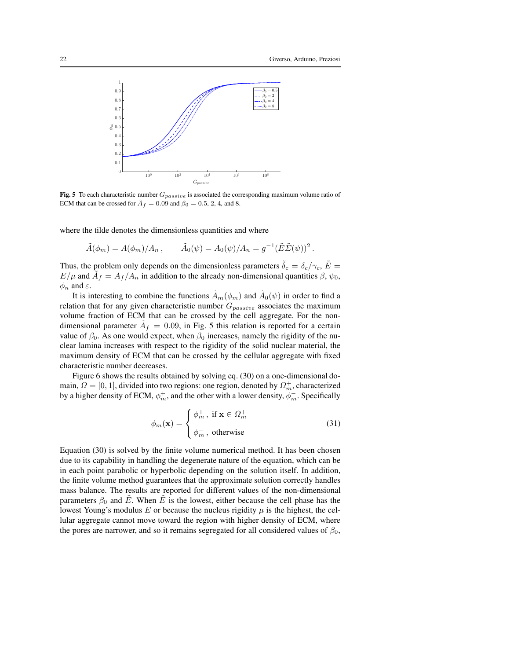

Fig. 5 To each characteristic number  $G_{passive}$  is associated the corresponding maximum volume ratio of ECM that can be crossed for  $\tilde{A}_f = 0.09$  and  $\beta_0 = 0.5, 2, 4$ , and 8.

where the tilde denotes the dimensionless quantities and where

$$
\tilde{A}(\phi_m) = A(\phi_m)/A_n, \qquad \tilde{A}_0(\psi) = A_0(\psi)/A_n = g^{-1}(\tilde{E}\tilde{\Sigma}(\psi))^2.
$$

Thus, the problem only depends on the dimensionless parameters  $\delta_c = \delta_c / \gamma_c$ ,  $\tilde{E} =$  $E/\mu$  and  $\tilde{A}_f = A_f/A_n$  in addition to the already non-dimensional quantities  $\beta$ ,  $\psi_0$ ,  $\phi_n$  and  $\varepsilon$ .

It is interesting to combine the functions  $\tilde{A}_m(\phi_m)$  and  $\tilde{A}_0(\psi)$  in order to find a relation that for any given characteristic number  $G_{passive}$  associates the maximum volume fraction of ECM that can be crossed by the cell aggregate. For the nondimensional parameter  $\tilde{A}_f = 0.09$ , in Fig. 5 this relation is reported for a certain value of  $\beta_0$ . As one would expect, when  $\beta_0$  increases, namely the rigidity of the nuclear lamina increases with respect to the rigidity of the solid nuclear material, the maximum density of ECM that can be crossed by the cellular aggregate with fixed characteristic number decreases.

Figure 6 shows the results obtained by solving eq. (30) on a one-dimensional domain,  $\Omega = [0, 1]$ , divided into two regions: one region, denoted by  $\Omega_m^+$ , characterized by a higher density of ECM,  $\phi_m^+$ , and the other with a lower density,  $\phi_m^-$ . Specifically

$$
\phi_m(\mathbf{x}) = \begin{cases} \phi_m^+, \text{ if } \mathbf{x} \in \Omega_m^+ \\ \phi_m^-, \text{ otherwise} \end{cases}
$$
 (31)

Equation (30) is solved by the finite volume numerical method. It has been chosen due to its capability in handling the degenerate nature of the equation, which can be in each point parabolic or hyperbolic depending on the solution itself. In addition, the finite volume method guarantees that the approximate solution correctly handles mass balance. The results are reported for different values of the non-dimensional parameters  $\beta_0$  and E. When E is the lowest, either because the cell phase has the lowest Young's modulus E or because the nucleus rigidity  $\mu$  is the highest, the cellular aggregate cannot move toward the region with higher density of ECM, where the pores are narrower, and so it remains segregated for all considered values of  $\beta_0$ ,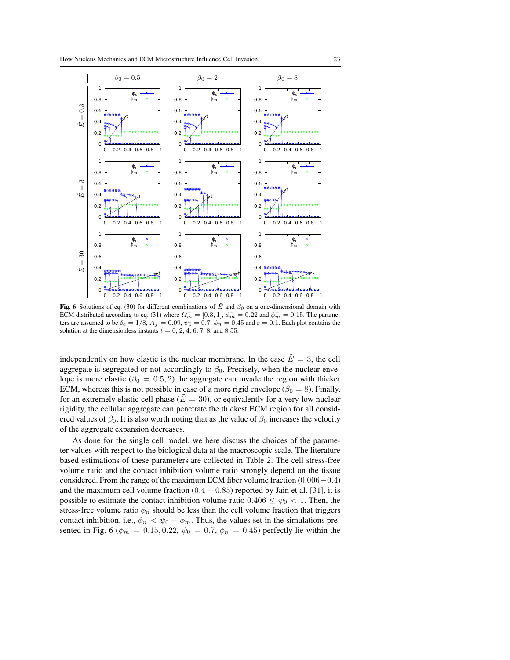



Fig. 6 Solutions of eq. (30) for different combinations of  $\tilde{E}$  and  $\beta_0$  on a one-dimensional domain with ECM distributed according to eq. (31) where  $\Omega_m^+ = [0.3, 1], \phi_m^+ = 0.22$  and  $\phi_m^- = 0.15$ . The parameters are assumed to be  $\tilde{\delta}_c = 1/8$ ,  $\tilde{A}_f = 0.09$ ,  $\psi_0 = 0.7$ ,  $\phi_n = 0.45$  and  $\varepsilon = 0.1$ . Each plot contains the solution at the dimensionless instants  $\tilde{t} = 0, 2, 4, 6, 7, 8$ , and 8.55.

independently on how elastic is the nuclear membrane. In the case  $\tilde{E} = 3$ , the cell aggregate is segregated or not accordingly to  $\beta_0$ . Precisely, when the nuclear envelope is more elastic ( $\beta_0 = 0.5, 2$ ) the aggregate can invade the region with thicker ECM, whereas this is not possible in case of a more rigid envelope ( $\beta_0 = 8$ ). Finally, for an extremely elastic cell phase ( $\tilde{E} = 30$ ), or equivalently for a very low nuclear rigidity, the cellular aggregate can penetrate the thickest ECM region for all considered values of  $\beta_0$ . It is also worth noting that as the value of  $\beta_0$  increases the velocity of the aggregate expansion decreases.

As done for the single cell model, we here discuss the choices of the parameter values with respect to the biological data at the macroscopic scale. The literature based estimations of these parameters are collected in Table 2. The cell stress-free volume ratio and the contact inhibition volume ratio strongly depend on the tissue considered. From the range of the maximum ECM fiber volume fraction (0.006−0.4) and the maximum cell volume fraction  $(0.4 - 0.85)$  reported by Jain et al. [31], it is possible to estimate the contact inhibition volume ratio  $0.406 \leq \psi_0 < 1$ . Then, the stress-free volume ratio  $\phi_n$  should be less than the cell volume fraction that triggers contact inhibition, i.e.,  $\phi_n < \psi_0 - \phi_m$ . Thus, the values set in the simulations presented in Fig. 6 ( $\phi_m = 0.15, 0.22, \psi_0 = 0.7, \phi_n = 0.45$ ) perfectly lie within the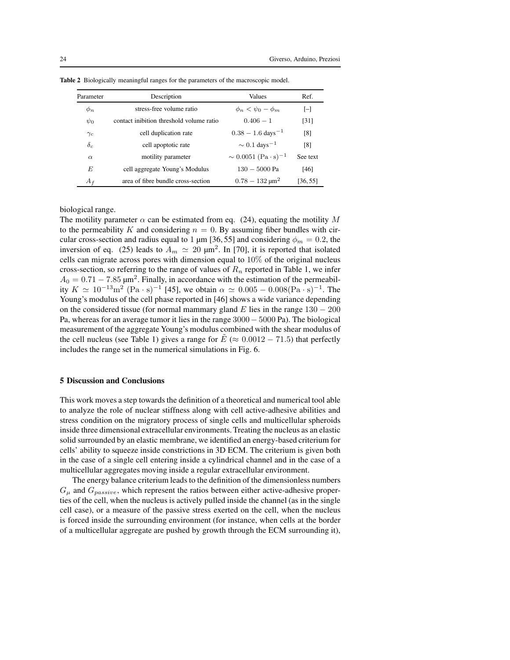| Parameter  | Description                              | Values                               | Ref.     |
|------------|------------------------------------------|--------------------------------------|----------|
| $\phi_n$   | stress-free volume ratio                 | $\phi_n < \psi_0 - \phi_m$           | $[-]$    |
| $\psi_0$   | contact inibition threshold volume ratio | $0.406 - 1$                          | [31]     |
| $\gamma_c$ | cell duplication rate                    | $0.38 - 1.6$ days <sup>-1</sup>      | [8]      |
| $\delta_c$ | cell apoptotic rate                      | $\sim 0.1$ days <sup>-1</sup>        | [8]      |
| $\alpha$   | motility parameter                       | $\sim 0.0051~({\rm Pa\cdot s})^{-1}$ | See text |
| E          | cell aggregate Young's Modulus           | $130 - 5000$ Pa                      | [46]     |
| $A_f$      | area of fibre bundle cross-section       | $0.78 - 132 \text{ }\mu\text{m}^2$   | [36, 55] |

Table 2 Biologically meaningful ranges for the parameters of the macroscopic model.

biological range.

The motility parameter  $\alpha$  can be estimated from eq. (24), equating the motility M to the permeability K and considering  $n = 0$ . By assuming fiber bundles with circular cross-section and radius equal to 1  $\mu$ m [36, 55] and considering  $\phi_m = 0.2$ , the inversion of eq. (25) leads to  $A_m \simeq 20 \text{ }\mu\text{m}^2$ . In [70], it is reported that isolated cells can migrate across pores with dimension equal to 10% of the original nucleus cross-section, so referring to the range of values of  $R_n$  reported in Table 1, we infer  $A_0 = 0.71 - 7.85 \,\mathrm{\mu m^2}$ . Finally, in accordance with the estimation of the permeability  $K \simeq 10^{-13} \text{m}^2 \text{ (Pa·s)}^{-1}$  [45], we obtain  $\alpha \simeq 0.005 - 0.008 (\text{Pa·s})^{-1}$ . The Young's modulus of the cell phase reported in [46] shows a wide variance depending on the considered tissue (for normal mammary gland E lies in the range  $130 - 200$ Pa, whereas for an average tumor it lies in the range 3000− 5000 Pa). The biological measurement of the aggregate Young's modulus combined with the shear modulus of the cell nucleus (see Table 1) gives a range for  $\tilde{E} \approx 0.0012 - 71.5$ ) that perfectly includes the range set in the numerical simulations in Fig. 6.

#### 5 Discussion and Conclusions

This work moves a step towards the definition of a theoretical and numerical tool able to analyze the role of nuclear stiffness along with cell active-adhesive abilities and stress condition on the migratory process of single cells and multicellular spheroids inside three dimensional extracellular environments. Treating the nucleus as an elastic solid surrounded by an elastic membrane, we identified an energy-based criterium for cells' ability to squeeze inside constrictions in 3D ECM. The criterium is given both in the case of a single cell entering inside a cylindrical channel and in the case of a multicellular aggregates moving inside a regular extracellular environment.

The energy balance criterium leads to the definition of the dimensionless numbers  $G_{\mu}$  and  $G_{passive}$ , which represent the ratios between either active-adhesive properties of the cell, when the nucleus is actively pulled inside the channel (as in the single cell case), or a measure of the passive stress exerted on the cell, when the nucleus is forced inside the surrounding environment (for instance, when cells at the border of a multicellular aggregate are pushed by growth through the ECM surrounding it),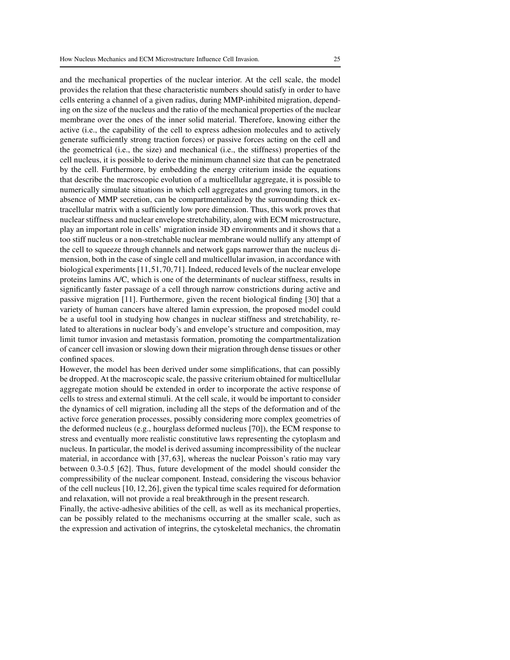and the mechanical properties of the nuclear interior. At the cell scale, the model provides the relation that these characteristic numbers should satisfy in order to have cells entering a channel of a given radius, during MMP-inhibited migration, depending on the size of the nucleus and the ratio of the mechanical properties of the nuclear membrane over the ones of the inner solid material. Therefore, knowing either the active (i.e., the capability of the cell to express adhesion molecules and to actively generate sufficiently strong traction forces) or passive forces acting on the cell and the geometrical (i.e., the size) and mechanical (i.e., the stiffness) properties of the cell nucleus, it is possible to derive the minimum channel size that can be penetrated by the cell. Furthermore, by embedding the energy criterium inside the equations that describe the macroscopic evolution of a multicellular aggregate, it is possible to numerically simulate situations in which cell aggregates and growing tumors, in the absence of MMP secretion, can be compartmentalized by the surrounding thick extracellular matrix with a sufficiently low pore dimension. Thus, this work proves that nuclear stiffness and nuclear envelope stretchability, along with ECM microstructure, play an important role in cells' migration inside 3D environments and it shows that a too stiff nucleus or a non-stretchable nuclear membrane would nullify any attempt of the cell to squeeze through channels and network gaps narrower than the nucleus dimension, both in the case of single cell and multicellular invasion, in accordance with biological experiments [11,51,70,71]. Indeed, reduced levels of the nuclear envelope proteins lamins A/C, which is one of the determinants of nuclear stiffness, results in significantly faster passage of a cell through narrow constrictions during active and passive migration [11]. Furthermore, given the recent biological finding [30] that a variety of human cancers have altered lamin expression, the proposed model could be a useful tool in studying how changes in nuclear stiffness and stretchability, related to alterations in nuclear body's and envelope's structure and composition, may limit tumor invasion and metastasis formation, promoting the compartmentalization of cancer cell invasion or slowing down their migration through dense tissues or other confined spaces.

However, the model has been derived under some simplifications, that can possibly be dropped. At the macroscopic scale, the passive criterium obtained for multicellular aggregate motion should be extended in order to incorporate the active response of cells to stress and external stimuli. At the cell scale, it would be important to consider the dynamics of cell migration, including all the steps of the deformation and of the active force generation processes, possibly considering more complex geometries of the deformed nucleus (e.g., hourglass deformed nucleus [70]), the ECM response to stress and eventually more realistic constitutive laws representing the cytoplasm and nucleus. In particular, the model is derived assuming incompressibility of the nuclear material, in accordance with [37, 63], whereas the nuclear Poisson's ratio may vary between 0.3-0.5 [62]. Thus, future development of the model should consider the compressibility of the nuclear component. Instead, considering the viscous behavior of the cell nucleus [10, 12, 26], given the typical time scales required for deformation and relaxation, will not provide a real breakthrough in the present research.

Finally, the active-adhesive abilities of the cell, as well as its mechanical properties, can be possibly related to the mechanisms occurring at the smaller scale, such as the expression and activation of integrins, the cytoskeletal mechanics, the chromatin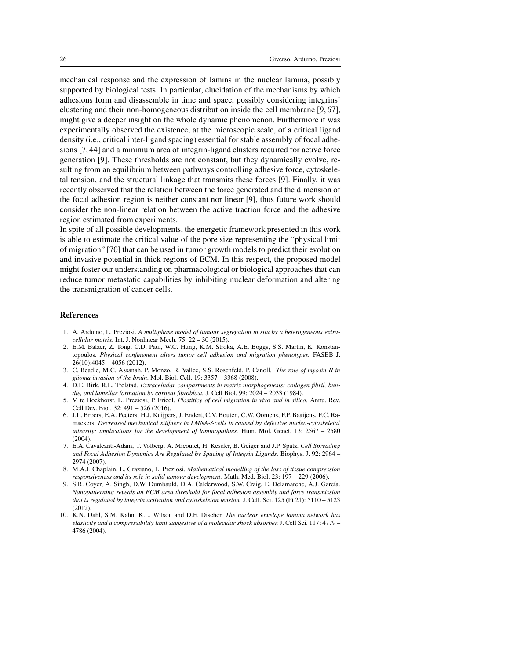mechanical response and the expression of lamins in the nuclear lamina, possibly supported by biological tests. In particular, elucidation of the mechanisms by which adhesions form and disassemble in time and space, possibly considering integrins' clustering and their non-homogeneous distribution inside the cell membrane [9, 67], might give a deeper insight on the whole dynamic phenomenon. Furthermore it was experimentally observed the existence, at the microscopic scale, of a critical ligand density (i.e., critical inter-ligand spacing) essential for stable assembly of focal adhesions [7, 44] and a minimum area of integrin-ligand clusters required for active force generation [9]. These thresholds are not constant, but they dynamically evolve, resulting from an equilibrium between pathways controlling adhesive force, cytoskeletal tension, and the structural linkage that transmits these forces [9]. Finally, it was recently observed that the relation between the force generated and the dimension of the focal adhesion region is neither constant nor linear [9], thus future work should consider the non-linear relation between the active traction force and the adhesive region estimated from experiments.

In spite of all possible developments, the energetic framework presented in this work is able to estimate the critical value of the pore size representing the "physical limit of migration" [70] that can be used in tumor growth models to predict their evolution and invasive potential in thick regions of ECM. In this respect, the proposed model might foster our understanding on pharmacological or biological approaches that can reduce tumor metastatic capabilities by inhibiting nuclear deformation and altering the transmigration of cancer cells.

#### References

- 1. A. Arduino, L. Preziosi. *A multiphase model of tumour segregation in situ by a heterogeneous extracellular matrix*. Int. J. Nonlinear Mech. 75: 22 – 30 (2015).
- 2. E.M. Balzer, Z. Tong, C.D. Paul, W.C. Hung, K.M. Stroka, A.E. Boggs, S.S. Martin, K. Konstantopoulos. *Physical confinement alters tumor cell adhesion and migration phenotypes.* FASEB J. 26(10):4045 – 4056 (2012).
- 3. C. Beadle, M.C. Assanah, P. Monzo, R. Vallee, S.S. Rosenfeld, P. Canoll. *The role of myosin II in glioma invasion of the brain*. Mol. Biol. Cell. 19: 3357 – 3368 (2008).
- 4. D.E. Birk, R.L. Trelstad. *Extracellular compartments in matrix morphogenesis: collagen fibril, bundle, and lamellar formation by corneal fibroblast.* J. Cell Biol. 99: 2024 – 2033 (1984).
- 5. V. te Boekhorst, L. Preziosi, P. Friedl. *Plastiticy of cell migration in vivo and in silico.* Annu. Rev. Cell Dev. Biol. 32: 491 – 526 (2016).
- 6. J.L. Broers, E.A. Peeters, H.J. Kuijpers, J. Endert, C.V. Bouten, C.W. Oomens, F.P. Baaijens, F.C. Ramaekers. *Decreased mechanical stiffness in LMNA-/-cells is caused by defective nucleo-cytoskeletal integrity: implications for the development of laminopathies.* Hum. Mol. Genet. 13: 2567 – 2580  $(2004)$
- 7. E.A. Cavalcanti-Adam, T. Volberg, A. Micoulet, H. Kessler, B. Geiger and J.P. Spatz. *Cell Spreading and Focal Adhesion Dynamics Are Regulated by Spacing of Integrin Ligands.* Biophys. J. 92: 2964 – 2974 (2007).
- 8. M.A.J. Chaplain, L. Graziano, L. Preziosi. *Mathematical modelling of the loss of tissue compression responsiveness and its role in solid tumour development.* Math. Med. Biol. 23: 197 – 229 (2006).
- 9. S.R. Coyer, A. Singh, D.W. Dumbauld, D.A. Calderwood, S.W. Craig, E. Delamarche, A.J. García. *Nanopatterning reveals an ECM area threshold for focal adhesion assembly and force transmission that is regulated by integrin activation and cytoskeleton tension.* J. Cell. Sci. 125 (Pt 21): 5110 – 5123 (2012).
- 10. K.N. Dahl, S.M. Kahn, K.L. Wilson and D.E. Discher. *The nuclear envelope lamina network has elasticity and a compressibility limit suggestive of a molecular shock absorber.* J. Cell Sci. 117: 4779 – 4786 (2004).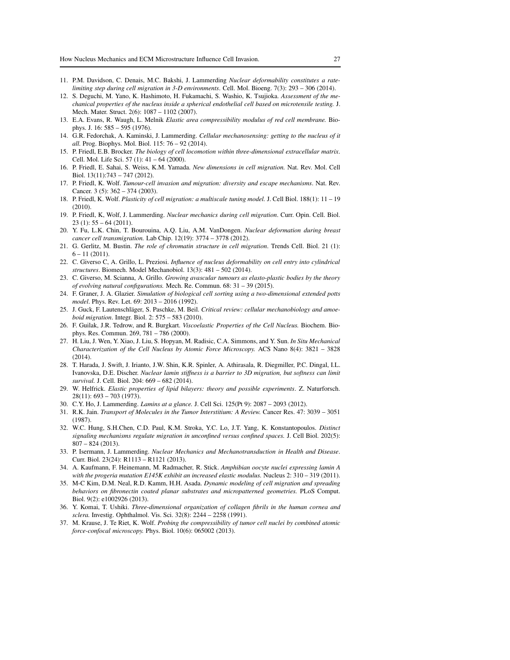- 11. P.M. Davidson, C. Denais, M.C. Bakshi, J. Lammerding *Nuclear deformability constitutes a ratelimiting step during cell migration in 3-D environments*. Cell. Mol. Bioeng. 7(3): 293 – 306 (2014).
- 12. S. Deguchi, M. Yano, K. Hashimoto, H. Fukamachi, S. Washio, K. Tsujioka. *Assessment of the mechanical properties of the nucleus inside a spherical endothelial cell based on microtensile testing.* J. Mech. Mater. Struct. 2(6): 1087 – 1102 (2007).
- 13. E.A. Evans, R. Waugh, L. Melnik *Elastic area compressibility modulus of red cell membrane.* Biophys. J. 16: 585 – 595 (1976).
- 14. G.R. Fedorchak, A. Kaminski, J. Lammerding. *Cellular mechanosensing: getting to the nucleus of it all.* Prog. Biophys. Mol. Biol. 115: 76 – 92 (2014).
- 15. P. Friedl, E.B. Brocker. *The biology of cell locomotion within three-dimensional extracellular matrix*. Cell. Mol. Life Sci. 57 (1): 41 – 64 (2000).
- 16. P. Friedl, E. Sahai, S. Weiss, K.M. Yamada. *New dimensions in cell migration.* Nat. Rev. Mol. Cell Biol. 13(11):743 – 747 (2012).
- 17. P. Friedl, K. Wolf. *Tumour-cell invasion and migration: diversity and escape mechanisms*. Nat. Rev. Cancer. 3 (5): 362 – 374 (2003).
- 18. P. Friedl, K. Wolf. *Plasticity of cell migration: a multiscale tuning model.* J. Cell Biol. 188(1): 11 19 (2010).
- 19. P. Friedl, K, Wolf, J. Lammerding. *Nuclear mechanics during cell migration*. Curr. Opin. Cell. Biol.  $23$  (1):  $55 - 64$  (2011).
- 20. Y. Fu, L.K. Chin, T. Bourouina, A.Q. Liu, A.M. VanDongen. *Nuclear deformation during breast cancer cell transmigration.* Lab Chip. 12(19): 3774 – 3778 (2012).
- 21. G. Gerlitz, M. Bustin. *The role of chromatin structure in cell migration*. Trends Cell. Biol. 21 (1):  $6 - 11$  (2011).
- 22. C. Giverso C, A. Grillo, L. Preziosi. *Influence of nucleus deformability on cell entry into cylindrical structures*. Biomech. Model Mechanobiol. 13(3): 481 – 502 (2014).
- 23. C. Giverso, M. Scianna, A. Grillo. *Growing avascular tumours as elasto-plastic bodies by the theory of evolving natural configurations.* Mech. Re. Commun. 68: 31 – 39 (2015).
- 24. F. Graner, J. A. Glazier. *Simulation of biological cell sorting using a two-dimensional extended potts model*. Phys. Rev. Let. 69: 2013 – 2016 (1992).
- 25. J. Guck, F. Lautenschläger, S. Paschke, M. Beil. *Critical review: cellular mechanobiology and amoeboid migration*. Integr. Biol. 2: 575 – 583 (2010).
- 26. F. Guilak, J.R. Tedrow, and R. Burgkart. *Viscoelastic Properties of the Cell Nucleus.* Biochem. Biophys. Res. Commun. 269, 781 – 786 (2000).
- 27. H. Liu, J. Wen, Y. Xiao, J. Liu, S. Hopyan, M. Radisic, C.A. Simmons, and Y. Sun. *In Situ Mechanical Characterization of the Cell Nucleus by Atomic Force Microscopy.* ACS Nano 8(4): 3821 – 3828 (2014).
- 28. T. Harada, J. Swift, J. Irianto, J.W. Shin, K.R. Spinler, A. Athirasala, R. Diegmiller, P.C. Dingal, I.L. Ivanovska, D.E. Discher. *Nuclear lamin stiffness is a barrier to 3D migration, but softness can limit survival.* J. Cell. Biol. 204: 669 – 682 (2014).
- 29. W. Helfrick. *Elastic properties of lipid bilayers: theory and possible experiments*. Z. Naturforsch. 28(11): 693 – 703 (1973).
- 30. C.Y. Ho, J. Lammerding. *Lamins at a glance.* J. Cell Sci. 125(Pt 9): 2087 2093 (2012).
- 31. R.K. Jain. *Transport of Molecules in the Tumor Interstitium: A Review.* Cancer Res. 47: 3039 3051 (1987).
- 32. W.C. Hung, S.H.Chen, C.D. Paul, K.M. Stroka, Y.C. Lo, J.T. Yang, K. Konstantopoulos. *Distinct signaling mechanisms regulate migration in unconfined versus confined spaces.* J. Cell Biol. 202(5): 807 – 824 (2013).
- 33. P. Isermann, J. Lammerding. *Nuclear Mechanics and Mechanotransduction in Health and Disease*. Curr. Biol. 23(24): R1113 – R1121 (2013).
- 34. A. Kaufmann, F. Heinemann, M. Radmacher, R. Stick. *Amphibian oocyte nuclei expressing lamin A with the progeria mutation E145K exhibit an increased elastic modulus.* Nucleus 2: 310 – 319 (2011).
- 35. M-C Kim, D.M. Neal, R.D. Kamm, H.H. Asada. *Dynamic modeling of cell migration and spreading behaviors on fibronectin coated planar substrates and micropatterned geometries.* PLoS Comput. Biol. 9(2): e1002926 (2013).
- 36. Y. Komai, T. Ushiki. *Three-dimensional organization of collagen fibrils in the human cornea and sclera.* Investig. Ophthalmol. Vis. Sci. 32(8): 2244 – 2258 (1991).
- 37. M. Krause, J. Te Riet, K. Wolf. *Probing the compressibility of tumor cell nuclei by combined atomic force-confocal microscopy.* Phys. Biol. 10(6): 065002 (2013).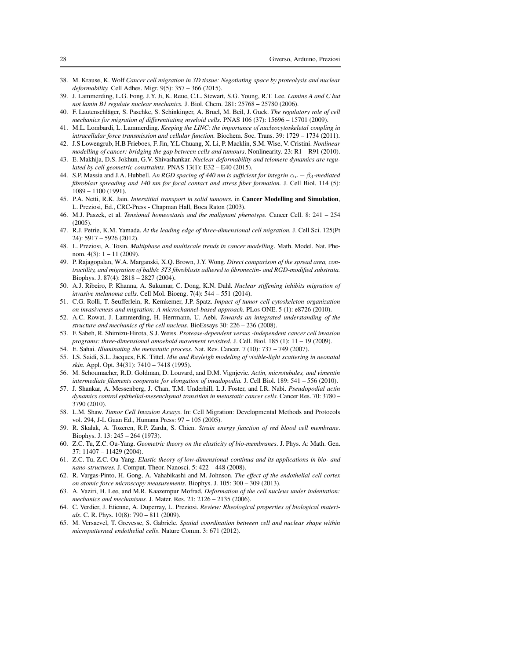- 38. M. Krause, K. Wolf *Cancer cell migration in 3D tissue: Negotiating space by proteolysis and nuclear deformability.* Cell Adhes. Migr. 9(5): 357 – 366 (2015).
- 39. J. Lammerding, L.G. Fong, J.Y. Ji, K. Reue, C.L. Stewart, S.G. Young, R.T. Lee. *Lamins A and C but not lamin B1 regulate nuclear mechanics.* J. Biol. Chem. 281: 25768 – 25780 (2006).
- 40. F. Lautenschl¨ager, S. Paschke, S. Schinkinger, A. Bruel, M. Beil, J. Guck. *The regulatory role of cell mechanics for migration of differentiating myeloid cells*. PNAS 106 (37): 15696 – 15701 (2009).
- 41. M.L. Lombardi, L. Lammerding. *Keeping the LINC: the importance of nucleocytoskeletal coupling in intracellular force transmission and cellular function.* Biochem. Soc. Trans. 39: 1729 – 1734 (2011).
- 42. J.S Lowengrub, H.B Frieboes, F. Jin, Y.L Chuang, X. Li, P. Macklin, S.M. Wise, V. Cristini. *Nonlinear modelling of cancer: bridging the gap between cells and tumours*. Nonlinearity. 23: R1 – R91 (2010).
- 43. E. Makhija, D.S. Jokhun, G.V. Shivashankar. *Nuclear deformability and telomere dynamics are regulated by cell geometric constraints.* PNAS 13(1): E32 – E40 (2015).
- 44. S.P. Massia and J.A. Hubbell. *An RGD spacing of 440 nm is sufficient for integrin* α<sup>v</sup> − β3*-mediated fibroblast spreading and 140 nm for focal contact and stress fiber formation.* J. Cell Biol. 114 (5): 1089 – 1100 (1991).
- 45. P.A. Netti, R.K. Jain. *Interstitial transport in solid tumours.* in Cancer Modelling and Simulation, L. Preziosi, Ed., CRC-Press - Chapman Hall, Boca Raton (2003).
- 46. M.J. Paszek, et al. *Tensional homeostasis and the malignant phenotype.* Cancer Cell. 8: 241 254 (2005).
- 47. R.J. Petrie, K.M. Yamada. *At the leading edge of three-dimensional cell migration.* J. Cell Sci. 125(Pt 24): 5917 – 5926 (2012).
- 48. L. Preziosi, A. Tosin. *Multiphase and multiscale trends in cancer modelling*. Math. Model. Nat. Phenom.  $4(3)$ :  $1 - 11$  (2009).
- 49. P. Rajagopalan, W.A. Marganski, X.Q. Brown, J.Y. Wong. *Direct comparison of the spread area, contractility, and migration of balb/c 3T3 fibroblasts adhered to fibronectin- and RGD-modified substrata.* Biophys. J. 87(4): 2818 – 2827 (2004).
- 50. A.J. Ribeiro, P. Khanna, A. Sukumar, C. Dong, K.N. Dahl. *Nuclear stiffening inhibits migration of invasive melanoma cells.* Cell Mol. Bioeng. 7(4): 544 – 551 (2014).
- 51. C.G. Rolli, T. Seufferlein, R. Kemkemer, J.P. Spatz. *Impact of tumor cell cytoskeleton organization on invasiveness and migration: A microchannel-based approach*. PLos ONE. 5 (1): e8726 (2010).
- 52. A.C. Rowat, J. Lammerding, H. Herrmann, U. Aebi. *Towards an integrated understanding of the structure and mechanics of the cell nucleus.* BioEssays 30: 226 – 236 (2008).
- 53. F. Sabeh, R. Shimizu-Hirota, S.J. Weiss. *Protease-dependent versus -independent cancer cell invasion programs: three-dimensional amoeboid movement revisited*. J. Cell. Biol. 185 (1): 11 – 19 (2009).
- 54. E. Sahai. *Illuminating the metastatic process*. Nat. Rev. Cancer. 7 (10): 737 749 (2007).
- 55. I.S. Saidi, S.L. Jacques, F.K. Tittel. *Mie and Rayleigh modeling of visible-light scattering in neonatal skin.* Appl. Opt. 34(31): 7410 – 7418 (1995).
- 56. M. Schoumacher, R.D. Goldman, D. Louvard, and D.M. Vignjevic. *Actin, microtubules, and vimentin intermediate filaments cooperate for elongation of invadopodia.* J. Cell Biol. 189: 541 – 556 (2010).
- 57. J. Shankar, A. Messenberg, J. Chan, T.M. Underhill, L.J. Foster, and I.R. Nabi. *Pseudopodial actin dynamics control epithelial-mesenchymal transition in metastatic cancer cells.* Cancer Res. 70: 3780 – 3790 (2010).
- 58. L.M. Shaw. *Tumor Cell Invasion Assays*. In: Cell Migration: Developmental Methods and Protocols vol. 294, J-L Guan Ed., Humana Press: 97 – 105 (2005).
- 59. R. Skalak, A. Tozeren, R.P. Zarda, S. Chien. *Strain energy function of red blood cell membrane*. Biophys. J. 13: 245 – 264 (1973).
- 60. Z.C. Tu, Z.C. Ou-Yang. *Geometric theory on the elasticity of bio-membranes*. J. Phys. A: Math. Gen. 37: 11407 – 11429 (2004).
- 61. Z.C. Tu, Z.C. Ou-Yang. *Elastic theory of low-dimensional continua and its applications in bio- and nano-structures*. J. Comput. Theor. Nanosci. 5: 422 – 448 (2008).
- 62. R. Vargas-Pinto, H. Gong, A. Vahabikashi and M. Johnson. *The effect of the endothelial cell cortex on atomic force microscopy measurements.* Biophys. J. 105: 300 – 309 (2013).
- 63. A. Vaziri, H. Lee, and M.R. Kaazempur Mofrad, *Deformation of the cell nucleus under indentation: mechanics and mechanisms.* J. Mater. Res. 21: 2126 – 2135 (2006).
- 64. C. Verdier, J. Etienne, A. Duperray, L. Preziosi. *Review: Rheological properties of biological materials*. C. R. Phys. 10(8): 790 – 811 (2009).
- 65. M. Versaevel, T. Grevesse, S. Gabriele. *Spatial coordination between cell and nuclear shape within micropatterned endothelial cells*. Nature Comm. 3: 671 (2012).